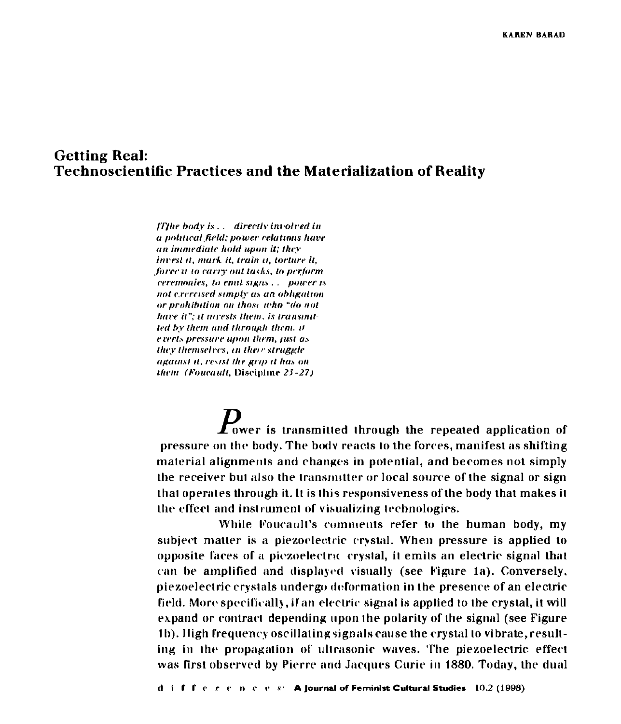# Getting Real: Technoscientific Practices and the Materialization of Reality

*mite body is . . directlv involved in u poltlwal field; po we.r relatums have an immediate hold upon it; they im'esl it, mark it, train it, torture ii, force it to cany out tatks, to perform ceremonies, to emit signs . • power is nol e.remsed simply ai an obligation or prohibition on those who "do not hare it"; it mrests them. is transmitted by them and through them. it erert.\ pressure upon them, /ust a they themselves, 111 thetr struggle against it, resist the grip it has on t/tem (Foucault,* Discipline *25-27)*

 $\boldsymbol{P}$  ower is transmitted through the repeated application of pressure on the body. The bodv reads lo the forces, manifest as shifting material alignments and changes in potential, and becomes not simply the receiver but also the transmitter or local source of the signal or sign that operates through it. It is this responsiveness of the body that makes it the effect and instrument of visualizing technologies.

While Foucault's comments refer to the human body, my subject matter is a piezoelectric crystal. When pressure is applied to opposite faces or a piezoelectric cryslal, it em its an electric signal that can be amplified and displayed visually (see Figure 1a). Conversely, piezoelectric crystals undergo deformation in the presence of an electric field. More specifically, if an electric signal is applied to the crystal, it will expand or contract depending upon the polarity of the signal (see Figure 1 h). High frequency oscillating signals cause the crystal lo vibrate, resulting in the propagation of ultrasonic waves. The piezoelectric effect was first observed by Pierre and Jacques Curie in 1880. Today, the dual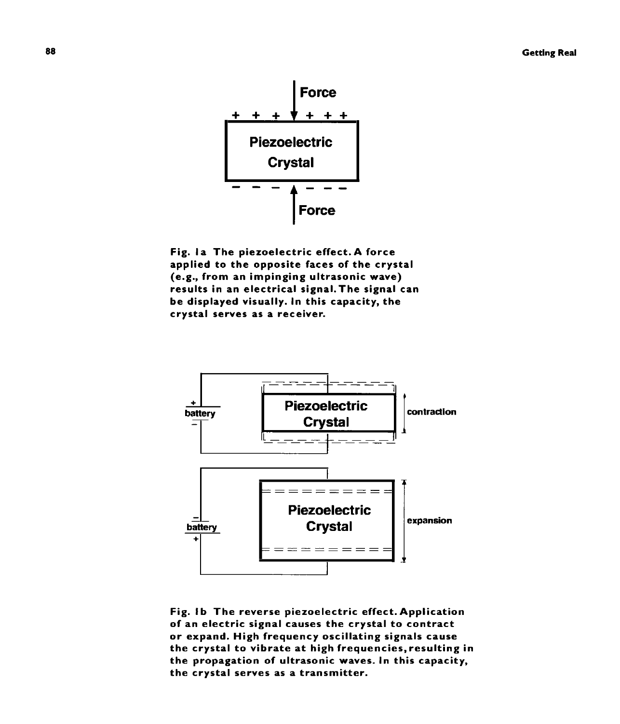

Fig. Ia The piezoelectric effect. A force applied to the opposite faces of the crystal (e.g., from an impinging ultrasonic wave) results in an electrical signal. The signal can be displayed visually. In this capacity, the crystal serves as a receiver.



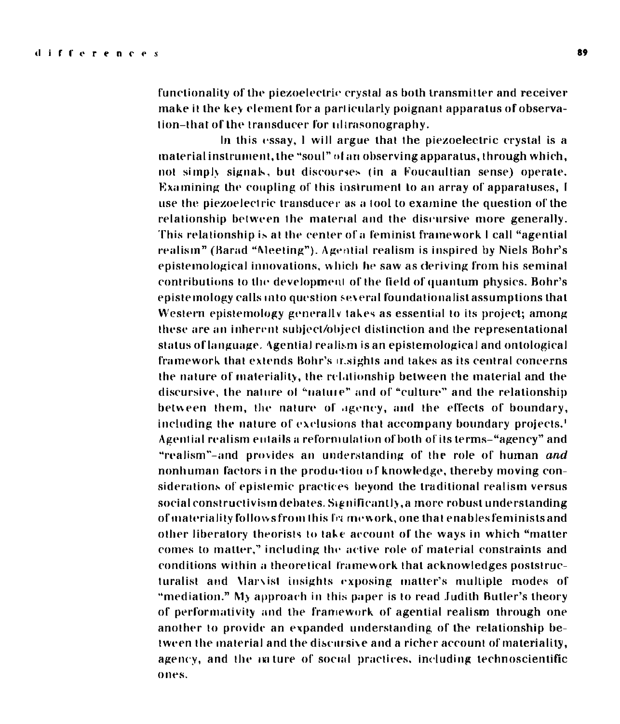functionality of the piezoelectric crystal as both transmitter and receiver make it the key element for a particularly poignant apparatus of observation-that of the transducer for ultrasonography.

In this essay, I will argue that the piezoelectric crystal is a material instrument, the "soul" of an observing apparatus, through which, not simply signals, but discourses (in a Foucaultian sense) operate. Examining the coupling of this instrument to an array of apparatuses, I use the piezoelectric transducer as a tool to examine the question of the relationship between the material and the discursive more generally. This relationship is at the center of a feminist framework I call "agential" realism" (Barad "Meeting"). Agential realism is inspired by Niels Bohr's epistemological innovations, which he saw as deriving from his seminal contributions to the development of the field of quantum physics. Bohr's epistemology calls into question several foundationalist assumptions that Western epistemology generally takes as essential to its project; among these are an inherent subject/object distinction and the representational status of language. Agential realism is an epistemological and ontological framework that extends Bohr's insights and takes as its central concerns the nature of materiality, the relationship between the material and the discursive, the nature of "nature" and of "culture" and the relationship between them, the nature of agency, and the effects of boundary, including the nature of exclusions that accompany boundary projects.<sup>1</sup> Agential realism entails a reformulation of both of its terms-"agency" and "realism"-and provides an understanding of the role of human and nonhuman factors in the production of knowledge, thereby moving considerations of epistemic practices beyond the traditional realism versus social constructivism debates. Significantly, a more robust understanding of materiality follows from this framework, one that enables feminists and other liberatory theorists to take account of the ways in which "matter comes to matter," including the active role of material constraints and conditions within a theoretical framework that acknowledges poststructuralist and Marvist insights exposing matter's multiple modes of "mediation." My approach in this paper is to read Judith Butler's theory of performativity and the framework of agential realism through one another to provide an expanded understanding of the relationship between the material and the discursive and a richer account of materiality, agency, and the mature of social practices, including technoscientific ones.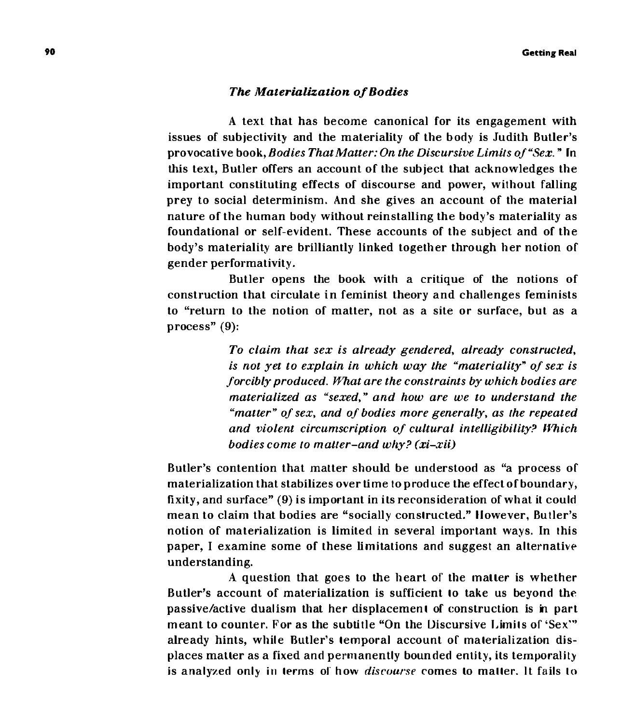## *The Materialization of Bodies*

A text that has become canonical for its engagement with issues of subjectivity and the materiality of the body is Judith Butler's provocative book, *Bodies T h a tM a tte r: On the Discursive Lim its o f "Sex*. " In this text, Butler offers an account of the subject that acknowledges the important constituting effects of discourse and power, without falling prey to social determinism. And she gives an account of the material nature of the human body without reinstalling the body's materiality as foundational or self-evident. These accounts of the subject and of the body's materiality are brilliantly linked together through her notion of gender performativity.

Butler opens the book with a critique of the notions of construction that circulate in feminist theory and challenges feminists to "return to the notion of matter, not as a site or surface, but as a process" (9):

> To claim that sex is already gendered, already constructed, *is not yet to explain in which way the "materiality" of sex is forcibly produced. What are the constraints by which bodies are materialized as "sexed," and how are we to understand the "matter" of sex, and of bodies more generally, as the repeated and violent circumscription of cultural intelligibility? Which bodies come to malter-and why? (xi-xii)*

Butler's contention that matter should be understood as "a process of materialization that stabilizes over time to produce the effect of boundary, fixity, and surface" (9) is important in its reconsideration of what it could mean to claim that bodies are "socially constructed." However, Butler's notion of materialization is limited in several important ways. In this paper, I examine some of these limitations and suggest an alternative understanding.

A question that goes to the heart of the m ailer is whether Butler's account of materialization is sufficient to take us beyond the passive/active dualism that her displacemen I of construction is in part meant to counter. For as the subtitle "On the Discursive Limits of 'Sex'" already hints, while Butler's temporal account of materialization displaces matter as a fixed and permanently bounded entity, its temporality is analyzed only in lerms of how *discourse* comes lo mailer. It fails lo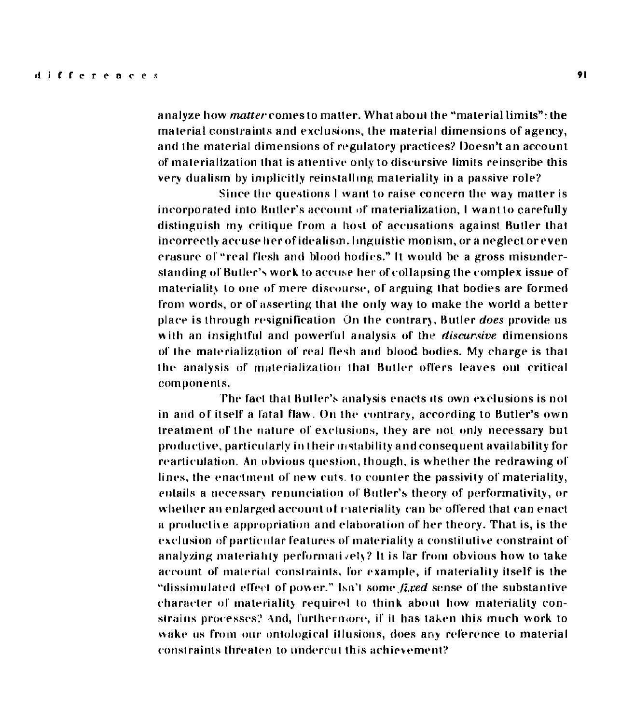analyze how *matter* comes to matter. What about the "material limits": the material constraints and exclusions, the material dimensions of agency, and the material dimensions of regulatory practices? Doesn't an account of materialization that is atlenlive only to discursive limits reinscribe this very dualism by implicitly reinstalling materiality in a passive role?

Since the questions I want to raise concern the way matter is incorporated into Butler's account of materialization, I want to carefully distinguish my critique from a host of accusations against Buller that incorrectly accuse her ofidealism. Linguistic monism, or a neglect or even erasure of "real flesh and blood hodies." It would be a gross misunderstanding of Buller's work to accuse her of collapsing the complex issue of materiality to one of mere discourse, of arguing that bodies are formed from words, or of asserting that Ihe only way lo make the world a better place is through resignification On the contrary, Butler *does* provide us with an insightful and powerful analysis of the *discursive* dimensions of lhe materialization of real flesh and blood bodies. My charge is that the analysis of materialization that Butler offers leaves out critical components.

The fact that Butler's analysis enacts its own exclusions is not in and of itself a fatal flaw. On the contrary, according to Butler's own treatment of the nature of exclusions, they are not only necessary but productive, particularly in their mstabilily and consequent availability lor rearticulation. An obvious question, though. is whether the redrawing of lines, the enactment of new cuts. to counter the passivity of materiality, entails a necessary renunciation of Butler's theory of performativity, or whether an enlarged account of materiality can be offered that can enact a productive appropriation and elaboration of her theory. That is, is the exclusion of particular features of materiality a constitutive constraint of analyzing materiality performatively? It is far from obvious how to take account of material constraints, for example, if materiality itself is the "dissimulated effect of power." Isn't some *fixed* sense of the substantive character of materiality required to think about how materiality conslrains processes? And, furlhertnorc, if ii has taken Ihis much work to wake us from our ontological illusions, does any reference to material constraints threaten to undercut this achievement?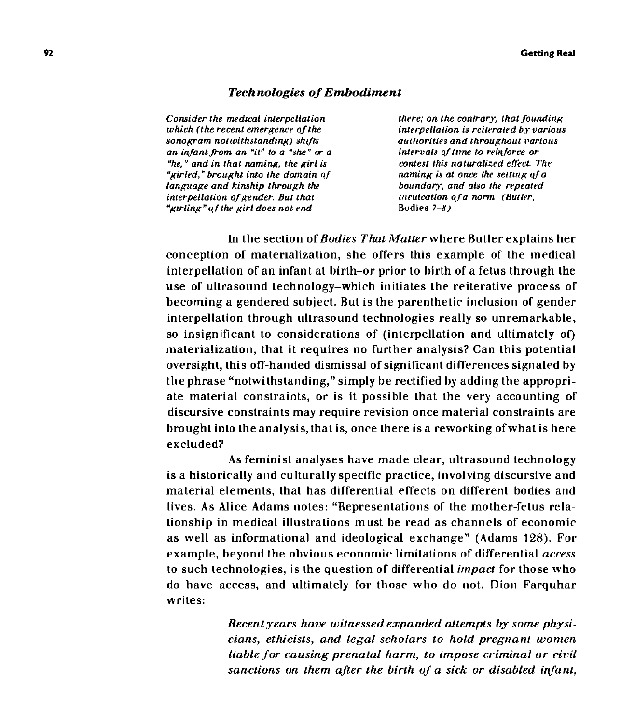#### **Technologies of Embodiment**

*Consider the medical interpellation which (the recent emergence of the sonogram notwithstanding) shifts an infant from an "it" to a "she" or a "he," and in that naming, the girl is "girled," brought into the domain of language and kinship through the interpellation of gender. But that "girling " o f the girl does not end*

*there; on the contrary, that founding interpellation is reiterated by various authorities and throughout various intervals qf tune to reinforce or contest this naturalized effect. The naniing is at once the selling of a boundary, and also the repeated inculcation of a norm (Butler,* Bodies 7-8)

In the section of *Bodies That Matter* where Butler explains her conception of materialization, she offers this example of the medical interpellation of an infant at birth-or prior to birth of a fetus through the use of ultrasound technology-which initiates the reiterative process of becom ing a gendered subject. But is the parenthetic inclusion of gender interpellation through ultrasound technologies really so unremarkable, so insignificant to considerations of (interpellation and ultimately of) materialization, that it requires no further analysis? Can this potential oversight, this off-handed dismissal of significant differences signaled by the phrase " notwithstanding," simply be rectified by adding the appropriate material constraints, or is it possible that the very accounting of discursive constraints may require revision once material constraints are brought into the analysis, that is, once there is a reworking of what is here excluded?

As feminist analyses have made clear, ultrasound technology is a historically and culturally specific practice, involving discursive and material elements, that has differential effects on different bodies and lives. As Alice Adams notes: "Representations of the mother-fetus relationship in medical illustrations must be read as channels of economic as w ell as informational and ideological exchange" (Adams 128). For example, beyond the obvious economic limitations of differential access to such technologies, is the question of differential *impact* for those who do have access, and ultimately for those who do not. Dion Farquhar writes:

> *Recent years have witnessed expanded attempts by some physicians, ethicists, and legal scholars to hold pregnant women liable for causing prenatal harm, to impose criminal or civil* sanctions on them after the birth of a sick or disabled infant,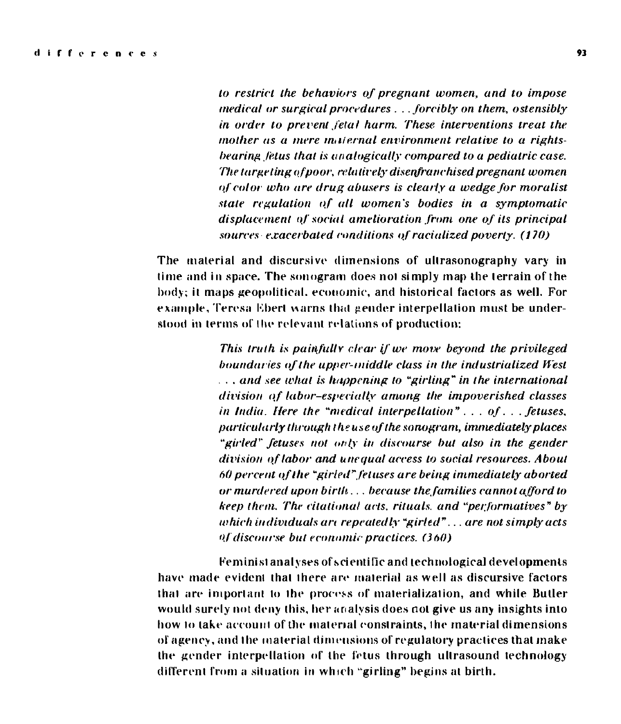*to restrict the behaviors of pregnant women, and to impose medical or surgical procedures ... forcibly on them, ostensibly in order to prevent fetal harm. These interventions treat the mother as a mere maternal environment relative to a rightsbearing fetus that is an alogically compared to a pediatric case. The targeting of poor, relatively disenfranchised pregnant women gf color who are drug abusers is clearly a wedge for moralist state regulation of all women's bodies in a symptomatic displacement of social amelioration from one of its principal sources exacerbated conditions of racialized poverty. (170)* 

The material and discursive dimensions of ultrasonography vary in lime and in space. The sonogram does not simply map the terrain of the body; it maps geopolitical. economic, and historical factors as well. For example, Teresa Ebert warns that gender interpellation must be understood in terms of the relevant relations of production:

> *This truth is painfully clear if we move beyond the privileged boundaries of the upper-middle class in the industrialized West* ... and see *what is happening to "girling"* in the international *division (\f la bor-especia lty a m o n g the im poverish ed classes in India. Here the "medical interpellation"... of... fetuses, p a rticu la rly thl'oug*h the *use* f *the* sonogram, immediately places *"g irle d " fetuses not only in discourse but also in the gender division of labor and unequal access to social resources. About* the *foll percent* of the "girled" fetuses are being immediately aborted or murdered upon birth  $\ldots$  because the families cannot afford to *keep them. The citational acts, rituals, and "performatives" by w hich individuals art repeatedly "g irle d " . . . are not sim ply acts <i>of discourse but economic practices.* (360)

Feminist analyses of scientific and technological developments have made evident that there are material as well as discursive factors thal are imporlanl lo lhe process of materialization, and while Butler would surely not deny this, her analysis does not give us any insights into how to take account of the material constraints, the material dimensions ol' agency, and the material dimensions or regulatory practices that make the gender interpellation of lhe fetus through ullrasound technology different from a situation in which "girling" begins at birth.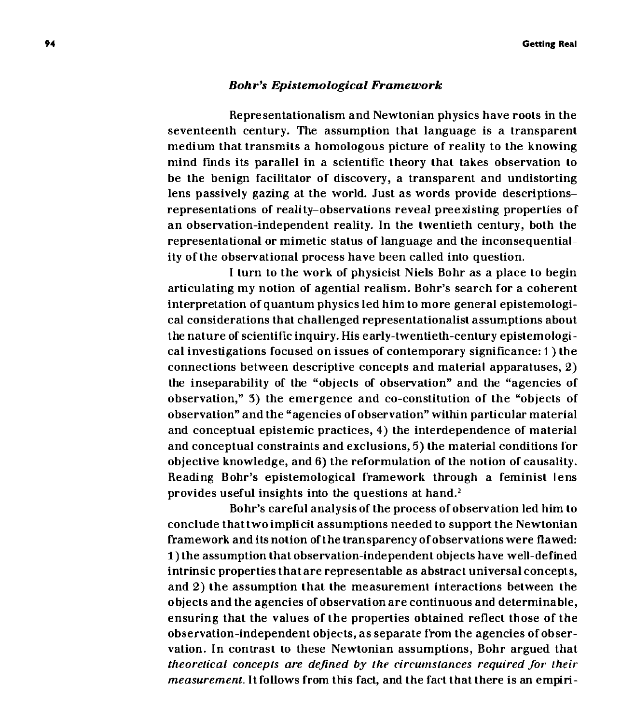# **Bohr's Epistemological Framework**

Representationalism and Newtonian physics have roots in the seventeenth century. The assumption that language is a transparent medium that transmits a homologous picture of reality to the knowing mind finds its parallel in a scientific theory that takes observation to be the benign facilitator of discovery, a transparent and undistorting lens passively gazing at the world. Just as words provide descriptionsrepresentations of reality–observations reveal preexisting properties of an observation-independent reality. In the twentieth century, both the representational or mimetic status of language and the inconsequentiality of the observational process have been called into question.

I turn to the work of physicist Niels Bohr as a place to begin articulating my notion of agential realism. Bohr's search for a coherent interpretation of quantum physics led him to more general epistemological considerations that challenged representationalist assumptions about the nature of scientific inquiry. His early-twentieth-century epistemological investigations focused on issues of contemporary significance: 1) the connections between descriptive concepts and material apparatuses, 2) the inseparability of the "objects of observation" and the "agencies of observation," 3) the emergence and co-constitution of the "objects of observation" and the "agencies of observation" within particular material and conceptual epistemic practices, 4) the interdependence of material and conceptual constraints and exclusions, 5) the material conditions for objective knowledge, and 6) the reformulation of the notion of causality. Reading Bohr's epistemological framework through a feminist lens provides useful insights into the questions at hand.<sup>2</sup>

Bohr's careful analysis of the process of observation led him to conclude that two implicit assumptions needed to support the Newtonian framework and its notion of the transparency of observations were flawed: 1) the assumption that observation-independent objects have well-defined intrinsic properties that are representable as abstract universal concepts, and 2) the assumption that the measurement interactions between the objects and the agencies of observation are continuous and determinable, ensuring that the values of the properties obtained reflect those of the observation-independent objects, as separate from the agencies of observation. In contrast to these Newtonian assumptions, Bohr argued that theoretical concepts are defined by the circumstances required for their *measurement*. It follows from this fact, and the fact that there is an empiri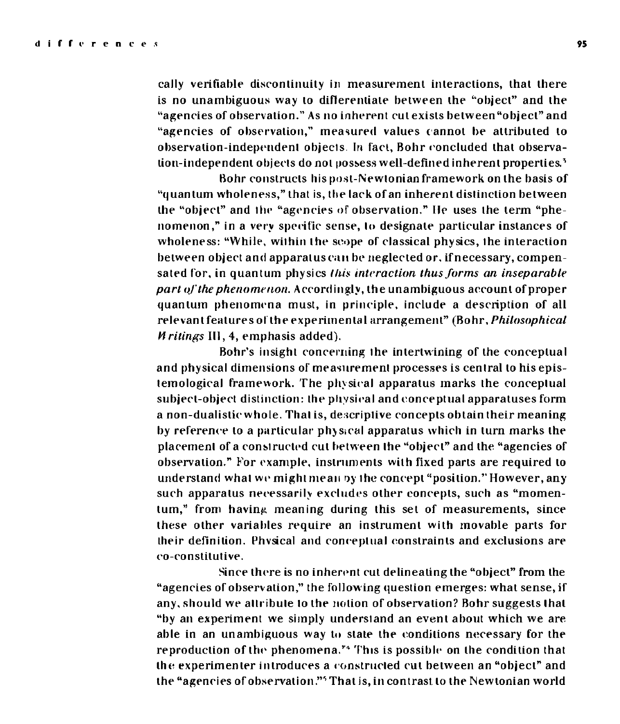cally verifiable discontinuity in measurement interactions, that there is no unambiguous way to differentiate between the "object" and the "agencies of observation." As no inherent cut exists between "object" and "agencies of observation," measured values cannot be attributed to observation-independent objects. In fact, Bohr concluded that observation-independent objects do not possess well-defined inherent properties.<sup>3</sup>

Bohr constructs his post-Newtonian framework on the basis of "quantum wholeness," that is, the lack of an inherent distinction between the "object" and the "agencies of observation." He uses the term "phenomenon," in a very specific sense, to designate particular instances of wholeness: "While, within the scope of classical physics, the interaction between object and apparatus can be neglected or, if necessary, compensated for, in quantum physics this interaction thus forms an inseparable part of the phenomenon. Accordingly, the unambiguous account of proper quantum phenomena must, in principle, include a description of all relevant features of the experimental arrangement" (Bohr, Philosophical *Mritings* III, 4, emphasis added).

Bohr's insight concerning the intertwining of the conceptual and physical dimensions of measurement processes is central to his epistemological framework. The physical apparatus marks the conceptual subject-object distinction: the physical and conceptual apparatuses form a non-dualistic whole. That is, descriptive concepts obtain their meaning by reference to a particular physical apparatus which in turn marks the placement of a constructed cut between the "object" and the "agencies of observation." For example, instruments with fixed parts are required to understand what we might mean by the concept "position." However, any such apparatus necessarily excludes other concepts, such as "momentum," from having meaning during this set of measurements, since these other variables require an instrument with movable parts for their definition. Physical and conceptual constraints and exclusions are co-constitutive.

Since there is no inherent cut delineating the "object" from the "agencies of observation," the following question emerges: what sense, if any, should we altribute to the notion of observation? Bohr suggests that "by an experiment we simply understand an event about which we are able in an unambiguous way to state the conditions necessary for the reproduction of the phenomena." This is possible on the condition that the experimenter introduces a constructed cut between an "object" and the "agencies of observation." That is, in contrast to the Newtonian world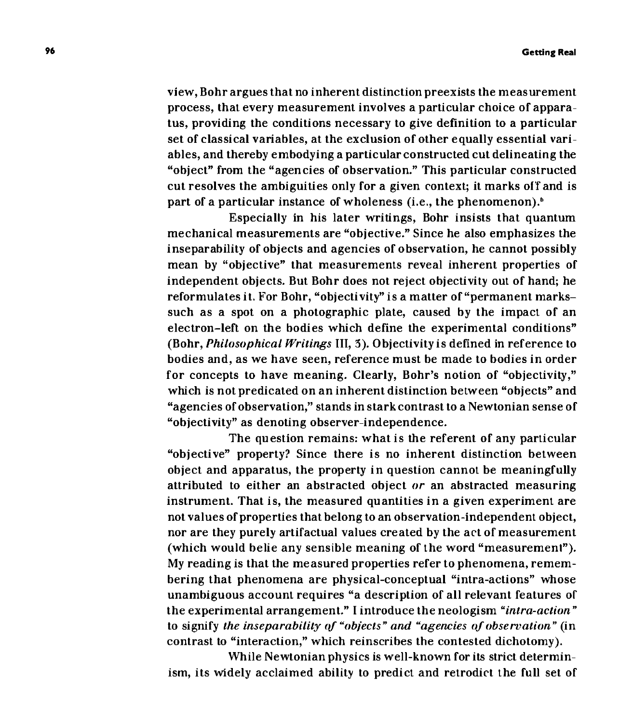view, Bohr argues that no inherent distinction preexists the measurement process, that every measurement involves a particular choice of apparatus, providing the conditions necessary to give definition to a particular set of classical variables, at the exclusion of other equally essential variables, and thereby em bodying a particular constructed cut delineating the "object" from the " agencies of observation." This particular constructed cut resolves the ambiguities only for a given context; it marks off and is part of a particular instance of wholeness (i.e., the phenomenon).\*

Especially in his later writings, Bohr insists that quantum mechanical measurements are "objective." Since he also emphasizes the inseparability of objects and agencies of observation, he cannot possibly mean by " objective" that measurements reveal inherent properties of independent objects. But Bohr does not reject objectivity out of hand; he reformulates it. For Bohr, "objectivity" is a matter of "permanent markssuch as a spot on a photographic plate, caused by the impact of an electron-left on the bodies which define the experimental conditions" (Bohr, *Philosophical Writings III, 3).* Objectivity is defined in reference to bodies and, as we have seen, reference must be made to bodies in order for concepts to have meaning. Clearly, Bohr's notion of "objectivity," which is not predicated on an inherent distinction between "objects" and " agencies of observation," stands in stark contrast to a New tonian sense o f "objectivity" as denoting observer-independence.

The question remains: what is the referent of any particular "objective" property? Since there is no inherent distinction between object and apparatus, the property in question cannot be meaningfully attributed to either an abstracted object *or* an abstracted measuring instrument. That is, the measured quantities in a given experiment are not values of properties that belong to an observation-independent object, nor are they purely artifactual values created by the act of measurement (which would belie any sensible meaning of the word "measurement"). My reading is that the measured properties refer to phenomena, remembering that phenomena are physical-conceptual "intra-actions" whose unambiguous account requires "a description of all relevant features of the experim ental arrangem ent." I introduce the neologism "*in tra -a ctio n "* to signify *the inseparability of "objects" and "agencies of observation"* (in contrast to "interaction," which reinscribes the contested dichotomy).

While Newtonian physics is well-known for its strict determinism, its widely acclaimed ability to predict and retrodict the full set of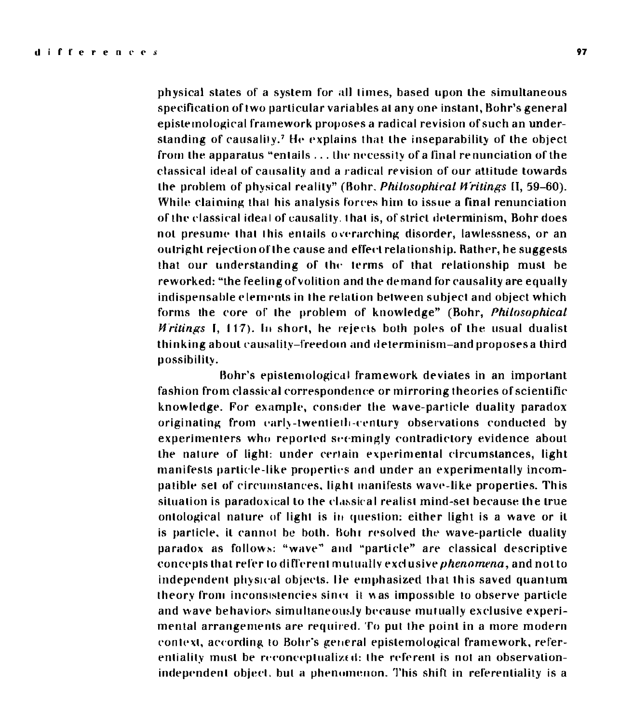physical states of a system for all times, based upon the simultaneous specification of two particular variables at any one instant, Bohr's general epistemological framework proposes a radical revision of such an understanding of causality.<sup>7</sup> He explains that the inseparability of the object from the apparatus "entails . . . the necessity of a final renunciation of the classical ideal of causality and a radical revision of our attitude towards the problem of physical reality" (Bohr, *Philosophical Writings* II, 59–60). While claiming that his analysis forces him to issue a final renunciation of the classical ideal of causality. that is, of strict determinism, Bohr does not presume that this entails overarching disorder, lawlessness, or an outright rejection of the cause and effect relationship. Rather, he suggests that our understanding of the terms of that relationship must be reworked: "the feeling of volition and the demand for causality are equally indispensable elements in the relation between subject and object which forms the core of the problem of knowledge" (Bohr, Philosophical *Mritings* I, 117). In short, he rejects both poles of the usual dualist thinking about causality-freedom and determinism-and proposes a third possibility.

Bohr's epistemological framework deviates in an important fashion from classical correspondence or mirroring theories of scientific knowledge. For example, consider the wave-particle duality paradox originating from early-twentieth-century observations conducted by experimenters who reported seemingly contradictory evidence about the nature of light: under certain experimental circumstances, light manifests particle-like properties and under an experimentally incompatible set of circumstances, light manifests wave-like properties. This situation is paradoxical to the classical realist mind-set because the true ontological nature of light is in question: either light is a wave or it is particle, it cannot be both. Bohr resolved the wave-particle duality paradox as follows: "wave" and "particle" are classical descriptive concepts that refer to different mutually exclusive *phenomena*, and not to independent physical objects. He emphasized that this saved quantum theory from inconsistencies since it was impossible to observe particle and wave behaviors simultaneously because mutually exclusive experimental arrangements are required. To put the point in a more modern context, according to Bohr's general epistemological framework, referentiality must be reconceptualized; the referent is not an observationindependent object, but a phenomenon. This shift in referentiality is a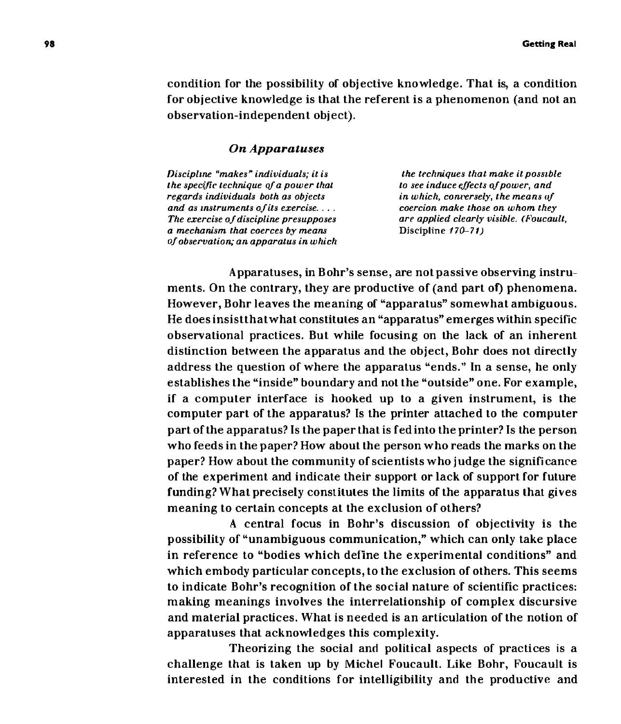condition for the possibility of objective knowledge. That is, a condition for objective knowledge is that the referent is a phenomenon (and not an observation-independent object).

#### *O n A p p a ra tu ses*

*Discipline "makes'' individuals; it is the specific technique qfa power that regards individuals both as objects and as instruments o f its exercise. ... The exercise o f discipline presupposes a mechanism that coerces by means of observation; an apparatus in which*

*the techniques that make it possible to see induce eJ:fects of power, and in which, conversely, the means of coercion make those on whom they are applied clearly visible. (Foucault,* Discipline *170-71)*

Apparatuses, in Bohr's sense, are not passive observing instruments. On the contrary, they are productive of (and part of) phenomena. However, Bohr leaves the meaning of "apparatus" somewhat ambiguous. He does insist that what constitutes an "apparatus" emerges within specific observational practices. But while focusing on the lack of an inherent distinction between the apparatus and the object, Bohr does not directly address the question of where the apparatus "ends." In a sense, he only establishes the "inside" boundary and not the "outside" one. For example, if a computer interface is hooked up to a given instrument, is the com puter part of the apparatus? Is the printer attached to the computer part ofthe apparatus? Is the paper that is fed into the printer? Is the person who feeds in the paper? How about the person who reads the marks on the paper? How about the community of scientists who judge the significance of the experiment and indicate their support or lack of support for future funding? What precisely constitutes the limits of the apparatus that gives meaning to certain concepts at the exclusion of others?

A central focus in Bohr's discussion of objectivity is the possibility of "unambiguous communication," which can only take place in reference to "bodies which define the experimental conditions" and which embody particular concepts, to the exclusion of others. This seems to indicate Bohr's recognition of the social nature of scientific practices: making meanings involves the interrelationship of complex discursive and material practices. What is needed is an articulation of the notion of apparatuses that acknowledges this complexity.

Theorizing the social and political aspects of practices is a challenge that is taken up by Michel Foucault. Like Bohr, Foucault is interested in the conditions for intelligibility and the productive and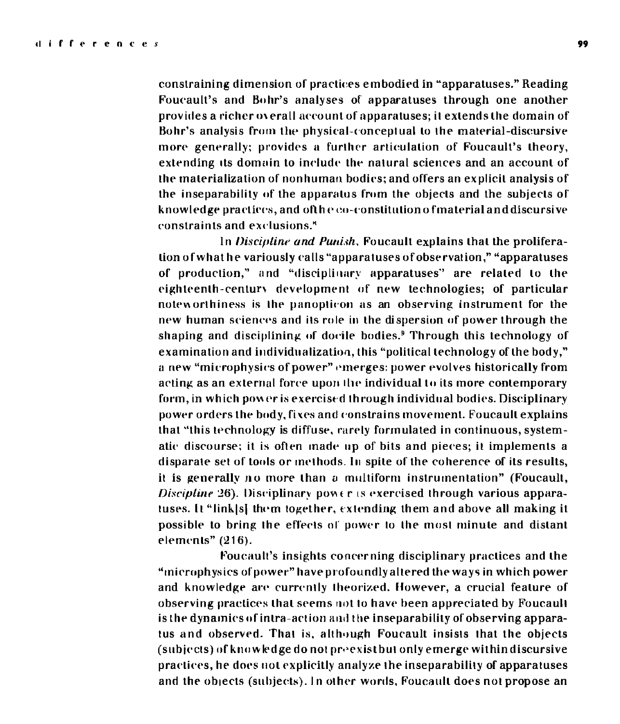constraining dimension of practices embodied in "apparatuses." Reading Foucault's and Bohr's analyses of apparatuses through one another provides a richer overall account of apparatuses; it extends the domain of Bohr's analysis from the physical-conceptual to the material-discursive more generally; provides a further articulation of Foucault's theory, extending its domain to include the natural sciences and an account of the materialization of nonhuman bodies; and offers an explicit analysis of the inseparability of the apparatus from the objects and the subjects of knowledge practices, and ofthe co-constitution of material and discursive constraints and exclusions.<sup>8</sup>

In Discipline and Punish, Foucault explains that the proliferation of what he variously calls "apparatuses of observation," "apparatuses of production," and "disciplinary apparatuses" are related to the eighteenth-century development of new technologies; of particular noteworthiness is the panopticon as an observing instrument for the new human sciences and its role in the dispersion of power through the shaping and disciplining of docile bodies.<sup>9</sup> Through this technology of examination and individualization, this "political technology of the body," a new "microphysics of power" emerges: power evolves historically from acting as an external force upon the individual to its more contemporary form, in which power is exercised through individual bodies. Disciplinary power orders the body, fixes and constrains movement. Foucault explains that "this technology is diffuse, rarely formulated in continuous, systematic discourse; it is often made up of bits and pieces; it implements a disparate set of tools or methods. In spite of the coherence of its results, it is generally no more than a multiform instrumentation" (Foucault, *Discipline* 26). Disciplinary power is exercised through various apparatuses. It "links them together, extending them and above all making it possible to bring the effects of power to the most minute and distant elements" (216).

Foucault's insights concerning disciplinary practices and the "microphysics of power" have profoundly altered the ways in which power and knowledge are currently theorized. However, a crucial feature of observing practices that seems not to have been appreciated by Foucault is the dynamics of intra-action and the inseparability of observing apparatus and observed. That is, although Foucault insists that the objects (subjects) of knowledge do not preexist but only emerge within discursive practices, he does not explicitly analyze the inseparability of apparatuses and the objects (subjects). In other words, Foucault does not propose an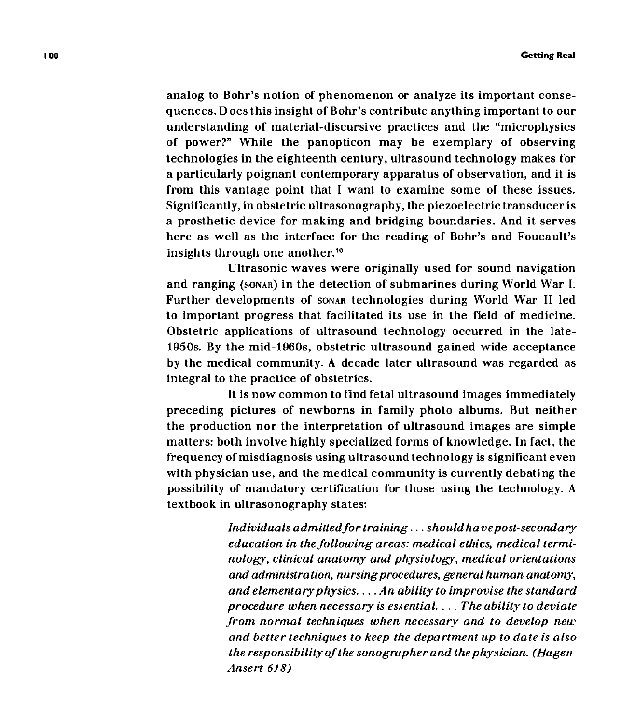analog to Bohr's notion of phenomenon or analyze its important consequences. Does this insight of Bohr's contribute anything important to our understanding of material-discursive practices and the "microphysics of power?" While the panopticon may be exemplary of observing technologies in the eighteenth century, ultrasound technology makes for a particularly poignant contemporary apparatus of observation, and it is from this vantage point that I want to examine some of these issues. Significantly, in obstetric ultrasonography, the piezoelectric transducer is a prosthetic device for making and bridging boundaries. And it serves here as well as the interface for the reading of Bohr's and Foucault's insights through one another. 10

Ultrasonic waves were originally used for sound navigation and ranging (sonar) in the detection of submarines during World War I. Further developments of sonar technologies during World War II led to important progress that facilitated its use in the field of medicine. Obstetric applications of ultrasound technology occurred in the late-1950s. By the mid-1960s, obstetric ultrasound gained wide acceptance by the medical community. A decade later ultrasound was regarded as integral to the practice of obstetrics.

It is now common to find fetal ultrasound images immediately preceding pictures of newborns in family photo albums. But neither the production nor the interpretation of ultrasound images are simple matters: both involve highly specialized forms of knowledge. In fact, the frequency ofm isdiagnosis using ultrasound technology is significant even with physician use, and the medical community is currently debating the possibility of mandatory certification for those using the technology. A textbook in ultrasonography states:

> *Individuals admitted for training ... should have post-secondary education in the following areas: medical ethics, medical terminology*, *clinical anatomy and physiology*, *medical orientations and administration, nursing procedures, general human anatomy, and elem entary physics.. . . A n a b ility to im provise the standard proced ure when necessary is essential. . . . The a b ility to deviate from normal techniques when necessary and to develop new and better techniques to keep the department up to date is also the responsibility of the sonographer and the physician. (Hagen-Ansert 618)*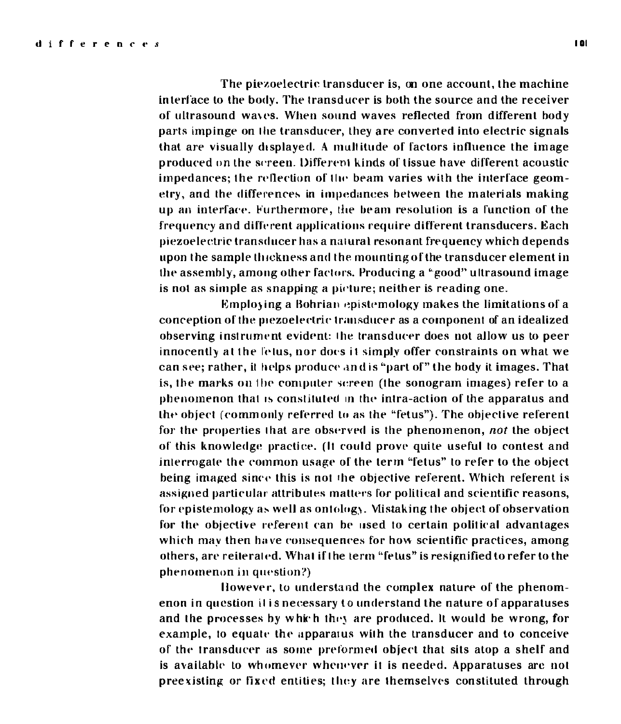The piezoelectric transducer is, on one account, the machine interface to the body. The transducer is both the source and the receiver of ultrasound waves. When sound waves reflected from different body parts impinge on the transducer, they are converted into electric signals that are visually displayed. A multitude of factors influence the image produced on the screen. Different kinds of tissue have different acoustic impedances; the reflection of the beam varies with the interface geometry, and the differences in impedances between the materials making up an interface. Furthermore, the beam resolution is a function of the frequency and different applications require different transducers. Each piezoelectric transducer has a natural resonant frequency which depends upon the sample thickness and the mounting of the transducer element in the assembly, among other factors. Producing a "good" ultrasound image is not as simple as snapping a picture; neither is reading one.

Employing a Bohrian epistemology makes the limitations of a conception of the prezoelectric transducer as a component of an idealized observing instrument evident: the transducer does not allow us to peer innocently at the fetus, nor does it simply offer constraints on what we can see; rather, it helps produce and is "part of" the body it images. That is, the marks on the computer screen (the sonogram images) refer to a phenomenon that is constituted in the intra-action of the apparatus and the object (commonly referred to as the "fetus"). The objective referent for the properties that are observed is the phenomenon, not the object of this knowledge practice. (It could prove quite useful to contest and interrogate the common usage of the term "fetus" to refer to the object being imaged since this is not the objective referent. Which referent is assigned particular attributes matters for political and scientific reasons, for epistemology as well as ontology. Mistaking the object of observation for the objective referent can be used to certain political advantages which may then have consequences for how scientific practices, among others, are reiterated. What if the term "fetus" is resignified to refer to the phenomenon in question?)

However, to understand the complex nature of the phenomenon in question it is necessary to understand the nature of apparatuses and the processes by which they are produced. It would be wrong, for example, to equate the apparaius with the transducer and to conceive of the transducer as some preformed object that sits atop a shelf and is available to whomever whenever it is needed. Apparatuses are not preexisting or fixed entities; they are themselves constituted through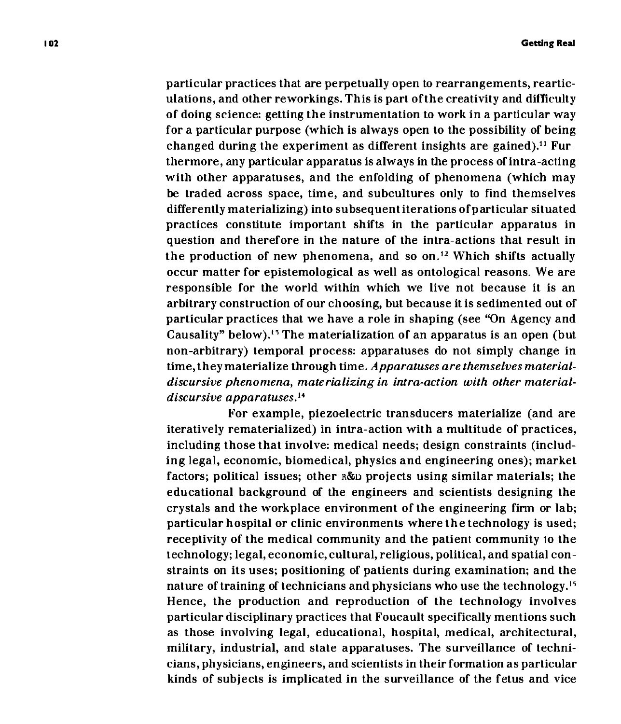particular practices that are perpetually open to rearrangements, rearticulations, and other reworkings. This is part of the creativity and difficulty of doing science: getting the instrumentation to work in a particular way for a particular purpose (which is always open to the possibility of being changed during the experiment as different insights are gained).<sup>11</sup> Furtherm ore, any particular apparatus is always in the process ofintra-acting with other apparatuses, and the enfolding of phenomena (which may be traded across space, time, and subcultures only to find themselves differently m aterializing) into subsequent iterations ofparticular situated practices constitute important shifts in the particular apparatus in question and therefore in the nature of the intra-actions that result in the production of new phenomena, and so on.<sup>12</sup> Which shifts actually occur matter for epistemological as well as ontological reasons. We are responsible for the world within which we live not because it is an arbitrary construction of our choosing, but because it is sedim ented out of particular practices that we have a role in shaping (see "On Agency and Causality" below).<sup>15</sup> The materialization of an apparatus is an open (but non-arbitrary) temporal process: apparatuses do not simply change in tim e,they m aterialize through time. *Apparatuses a re themselves m ateria l*discursive phenomena, materializing in intra-action with other material*discursive apparatuses.1\**

For example, piezoelectric transducers materialize (and are iteratively rematerialized) in intra-action with a multitude of practices, including those that involve: medical needs; design constraints (including legal, economic, biomedical, physics and engineering ones); market factors; political issues; other R&u projects using sim ilar materials; the educational background of the engineers and scientists designing the crystals and the workplace environment of the engineering firm or lab; particular hospital or clinic environments w here th e technology is used; receptivity of the medical community and the patient community to the technology; legal, econom ic, cultural, religious, political, and spatial con straints on its uses; positioning of patients during examination; and the nature of training of technicians and physicians who use the technology.15 Hence, the production and reproduction of the technology involves particular disciplinary practices that Foucault specifically mentions such as those involving legal, educational, hospital, medical, architectural, military, industrial, and state apparatuses. The surveillance of technicians, physicians, engineers, and scientists in their formation as particular kinds of subjects is implicated in the surveillance of the fetus and vice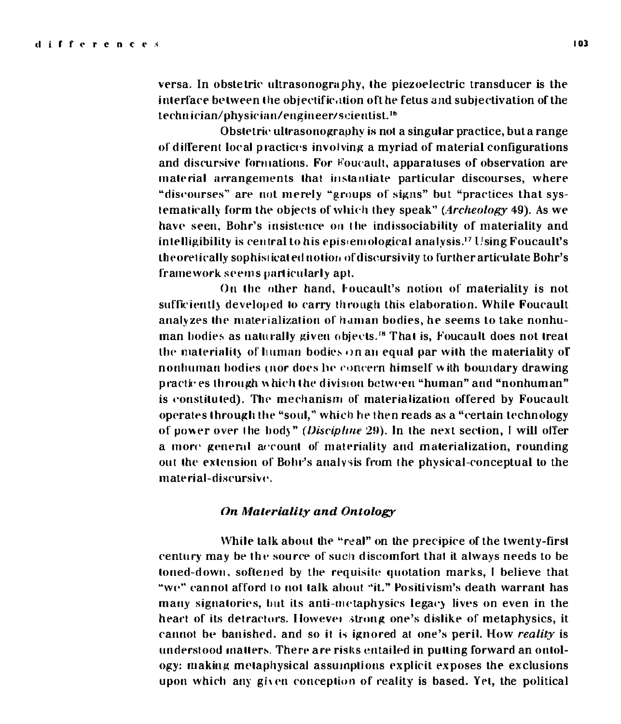versa. In obstetric ultrasonography, the piezoelectric transducer is the interface between the objectification of the fetus and subjectivation of the techn ician/physician/engineer/soientist."'

Obstetric ultrasonography is not a singular practice, but a range of different local practices involving a myriad of material configurations and discursive formations. For Foucault, apparatuses of observation are material arrangements that instantiate particular discourses, where " discourses" are not merely "groups of signs" but " practices that systematically form the objects of which they speak" *(Archeology* 49). As we have seen, Bohr's insistence on the indissociability of materiality and intelligibility is central to his episiem ological analysis.<sup>17</sup> Using Foucault's theoretically sophisi icat ed notion of discursivily to further articulate Bohr's framework seem s particularly apt.

On the other hand, Foucault's notion of materiality is not sufficiently developed lo carry through this elaboration. While Foucault analyzes the materialization of haman bodies, he seems to take nonhuman bodies as naturally given objects.'8 That is, Foucault does not treat the materiality of human bodies on an equal par with the materiality of nonhuman bodies (nor does he concern himself with boundary drawing practices through which the division between "human" and "nonhuman" is constituted). The mechanism of materialization offered by Foucault operates through the "soul," which he then reads as a "certain technology of power over the body" *(Discipline* 29). In the next section, I will offer a more general account of materiality and materialization, rounding out the extension of Bohr's analysis from the physical-conceptual to the material-discursive.

# *On Materiality and Ontology*

While talk about the "real" on the precipice of the twenty-first century may be the source of such discomfort that it always needs to be toned-down, softened by the requisite quotation marks, I believe that "we" cannot afford to not talk about "it." Positivism's death warrant has many signatories, but its anti-mctaphysics legacy lives on even in the heart of its detractors. However strong one's dislike of metaphysics, it cannot be banished, and so it is ignored at one's peril. How *reality* is understood matters. There are risks entailed in putting forward an ontology: making metaphysical assumptions explicit exposes the exclusions upon which any given conception of reality is based. Yet, the political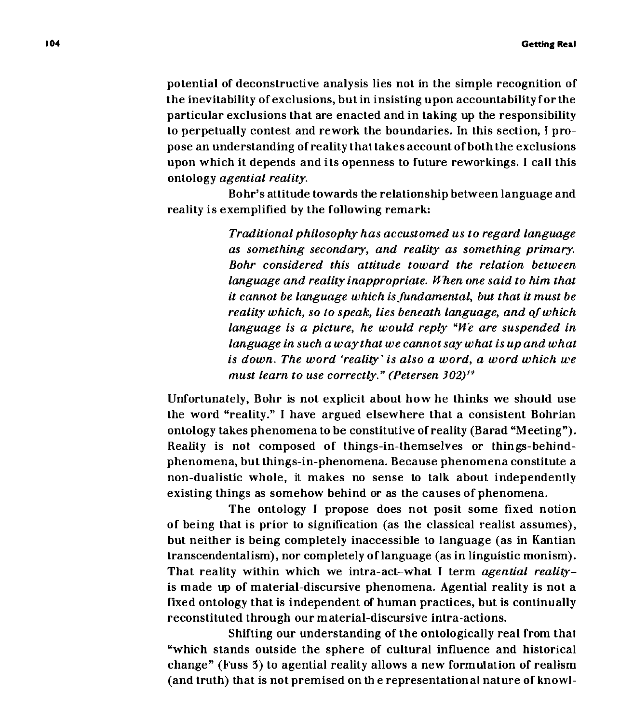potential of deconstructive analysis lies not in the simple recognition of the inevitability of exclusions, but in insisting upon accountability for the particular exclusions that are enacted and in taking up the responsibility to perpetually contest and rework the boundaries. In this section, I propose an understanding of reality that takes account of both the exclusions upon which it depends and its openness to future reworkings. I call this ontology *agential reality*.

Bohr's attitude towards the relationship betw een language and reality is exemplified by the following remark:

> *Traditional philosophy has accustomed us to regard language as something secondary, and reality as something primary. B ohr considered this attitude tow a rd the rela tion between language and reality inappropriate. When one said to him that it cannot be language which is fundamental, but that it must be reality which, so to speak, lies beneath language, and of which language is a picture, he w ou ld reply* "We *are suspended in language in such a way that we cannot say what is up and what* is down. The word 'reality' is also a word, a word which we *must learn to use correctly." (Petersen 302)<sup>19</sup>*

Unfortunately, Bohr is not explicit about how he thinks we should use the word "reality." I have argued elsewhere that a consistent Bohrian ontology takes phenomena to be constitutive of reality (Barad "Meeting"). Reality is not composed of things-in-themselves or things-behindphenom ena, but things-in-phenomena. Because phenom ena constitute a non-dualistic w hole, it makes no sense to talk about independently existing things as somehow behind or as the causes of phenomena.

The ontology I propose does not posit some fixed notion of being that is prior to signification (as the classical realist assumes), but neither is being completely inaccessible to language ( as in Kantian transcendentalism), nor completely of language (as in linguistic monism). That reality within which we intra-act-what I term *agential reality*is made up of material-discursive phenomena. Agential reality is not a fixed ontology that is independent of human practices, but is continually reconstituted through our material-discursive intra-actions.

Shifting our understanding of the ontologically real from that "which stands outside the sphere of cultural influence and historical change" (Fuss 3) to agential reality allows a new formulation of realism (and truth) that is not premised on the representational nature of knowl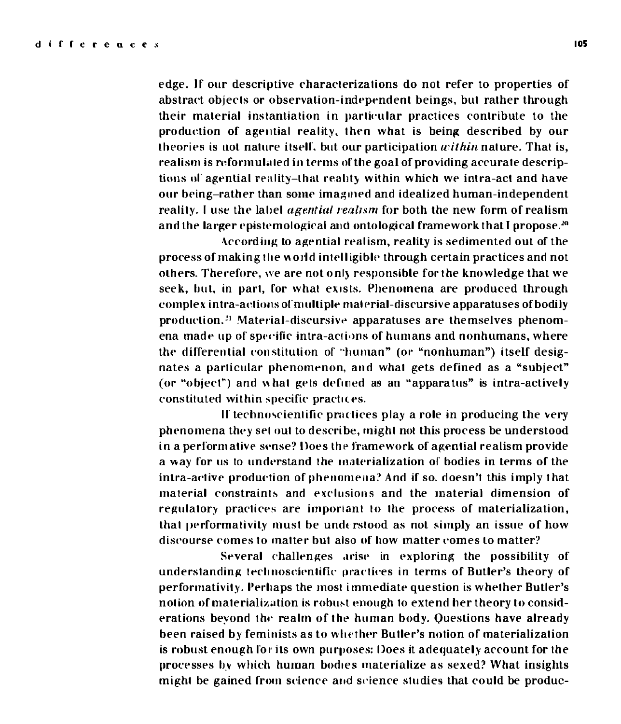edge. If our descriptive characterizations do not refer to properties of abstract objects or observation-independent beings, but rather through their material instantiation in particular practices contribute to the production of agential reality, then what is being described by our theories is not nature itself, but our participation within nature. That is, realism is reformulated in terms of the goal of providing accurate descriptions of agential reality-that reality within which we intra-act and have our being-rather than some imagined and idealized human-independent reality. I use the label *agential realism* for both the new form of realism and the larger epistemological and ontological framework that I propose.<sup>20</sup>

According to agential realism, reality is sedimented out of the process of making the world intelligible through certain practices and not others. Therefore, we are not only responsible for the knowledge that we seek, but, in part, for what exists. Phenomena are produced through complex intra-actions of multiple material-discursive apparatuses of bodily production.<sup>31</sup> Material-discursive apparatuses are themselves phenomena made up of specific intra-actions of humans and nonhumans, where the differential constitution of "human" (or "nonhuman") itself designates a particular phenomenon, and what gets defined as a "subject" (or "object") and what gets defined as an "apparatus" is intra-actively constituted within specific practices.

If technoscientific practices play a role in producing the very phenomena they set out to describe, might not this process be understood in a performative sense? Does the framework of agential realism provide a way for us to understand the materialization of bodies in terms of the intra-active production of phenomena? And if so, doesn't this imply that material constraints and exclusions and the material dimension of regulatory practices are important to the process of materialization, that performativity must be understood as not simply an issue of how discourse comes to matter but also of how matter comes to matter?

Several challenges arise in exploring the possibility of understanding technoscientific practices in terms of Butler's theory of performativity. Perhaps the most immediate question is whether Butler's notion of materialization is robust enough to extend her theory to considerations beyond the realm of the human body. Questions have already been raised by feminists as to whether Butler's notion of materialization is robust enough for its own purposes: Does it adequately account for the processes by which human bodies materialize as sexed? What insights might be gained from science and science studies that could be produc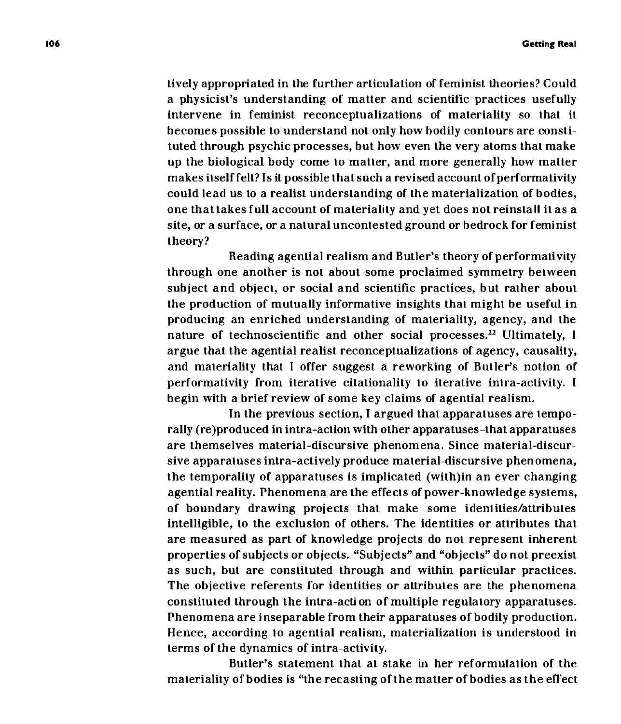tively appropriated in the further articulation of feminist theories? Could a physicist's understanding of matter and scientific practices usefully intervene in feminist reconceptualizations of materiality so that it becom es possible to understand not only how bodily contours are constituted through psychic processes, but how even the very atoms that make up the biological body come lo matter, and more generally how matter makes itself felt? Is it possible that such a revised account of performativity could lead us lo a realist understanding of the materialization of bodies, one that takes full account of materiality and yet does not reinstall it as a site, or a surface, or a natural uncontested ground or bedrock for feminist theory?

Reading agential realism and Butler's theory of performativity through one another is not about some proclaimed symmetry between subject and object, or social and scientific practices, but rather about the production of mutually informative insights that might be useful in producing an enriched understanding of materiality, agency, and the nature of technoscientific and other social processes.<sup>22</sup> Ultimately, 1 argue that the agential realist reconceptualizations of agency, causality, and materiality that I offer suggest a reworking of Butler's notion of performativity from iterative citationality to iterative intra-activity. I begin with a brief review of some key claims of agential realism.

In the previous section, I argued that apparatuses are temporally (re)produced in intra-action with other apparatuses-that apparatuses are themselves material-discursive phenomena. Since material-discursive apparatuses intra-actively produce material-discursive phenomena, the temporalily of apparatuses is implicated (with)in an ever changing agential reality. Phenomena are the effects of power-knowledge systems, of boundary drawing projects that make some identities/attributes intelligible, to the exclusion of others. The identities or attributes that are measured as part of knowledge projects do not represent inherent properties of subjects or objects. "Subjects" and "objects" do not preexist as such, but are constituted through and within particular practices. The objective referents for identities or attributes are the phenomena constituted through the intra-action of multiple regulatory apparatuses. Phenomena are inseparable from their apparatuses of bodily production. Hence, according to agential realism, materialization is understood in terms of the dynamics of intra-activity.

Butler's statement that at stake in her reformulation of the materiality of bodies is "the recasting of the matter of bodies as the effect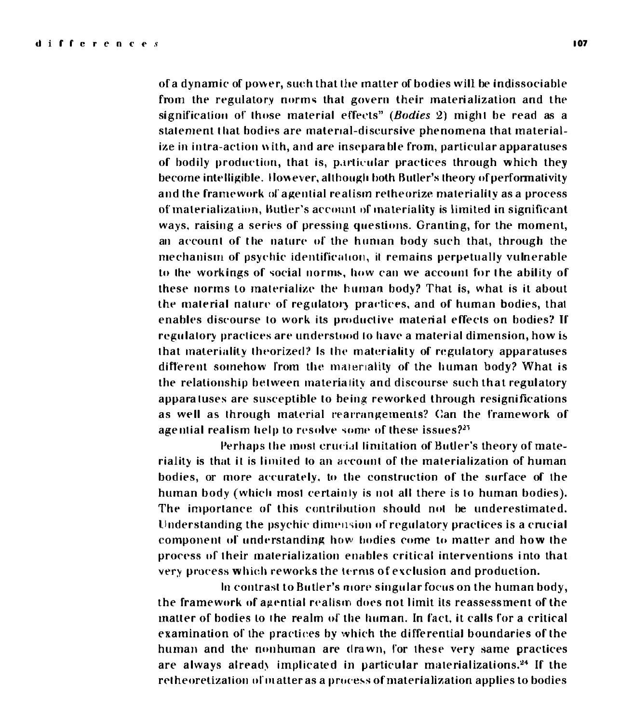of a dynamic of power, such that the matter of bodies will be indissociable from the regulatory norms that govern their materialization and the signification of those material effects" (Bodies 2) might be read as a statement that bodies are material-discursive phenomena that materialize in intra-action with, and are inseparable from, particular apparatuses of bodily production, that is, particular practices through which they become intelligible. However, although both Butler's theory of performativity and the framework of agential realism retheorize materiality as a process of materialization, Butler's account of materiality is limited in significant ways, raising a series of pressing questions. Granting, for the moment, an account of the nature of the human body such that, through the mechanism of psychic identification, it remains perpetually vulnerable to the workings of social norms, how can we account for the ability of these norms to materialize the human body? That is, what is it about the material nature of regulatory practices, and of human bodies, that enables discourse to work its productive material effects on bodies? If regulatory practices are understood to have a material dimension, how is that materiality theorized? Is the materiality of regulatory apparatuses different somehow from the materiality of the human body? What is the relationship between materiality and discourse such that regulatory apparatuses are susceptible to being reworked through resignifications as well as through material rearrangements? Can the framework of agential realism help to resolve some of these issues?<sup>23</sup>

Perhaps the most crucial limitation of Butler's theory of materiality is that it is limited to an account of the materialization of human bodies, or more accurately, to the construction of the surface of the human body (which most certainly is not all there is to human bodies). The importance of this contribution should not be underestimated. Understanding the psychic dimension of regulatory practices is a crucial component of understanding how bodies come to matter and how the process of their materialization enables critical interventions into that very process which reworks the terms of exclusion and production.

In contrast to Butler's more singular focus on the human body, the framework of agential realism does not limit its reassessment of the matter of bodies to the realm of the human. In fact, it calls for a critical examination of the practices by which the differential boundaries of the human and the nonhuman are drawn, for these very same practices are always already implicated in particular materializations.<sup>24</sup> If the retheoretization of matter as a process of materialization applies to bodies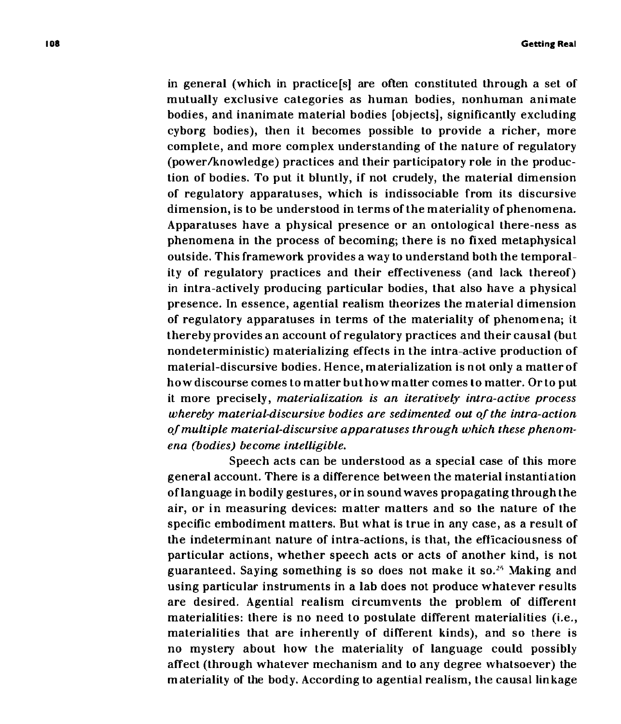in general (which in practice[s] are often constituted through a set of mutually exclusive categories as human bodies, nonhuman animate bodies, and inanimate material bodies [objects], significantly excluding cyborg bodies), then it becomes possible to provide a richer, more complete, and more complex understanding of the nature of regulatory (power/knowledge) practices and their participatory role in the production of bodies. To put it bluntly, if not crudely, the material dimension of regulatory apparatuses, which is indissociable from its discursive dimension, is to be understood in terms of the materiality of phenomena. Apparatuses have a physical presence or an ontological there-ness as phenomena in the process of becoming; there is no fixed metaphysical outside. This framework provides a way to understand both the temporality of regulatory practices and their effectiveness (and lack thereof) in intra-actively producing particular bodies, that also have a physical presence. In essence, agential realism theorizes the material dimension of regulatory apparatuses in terms of the materiality of phenomena; it thereby provides an account of regulatory practices and their causal (but nondeterministic) materializing effects in the intra-active production of material-discursive bodies. Hence, materialization is not only a matter of how discourse comes to matter buthow matter comes to matter. Or to put it more precisely, *materialization is an iteratively intra-active process whereby material-discursive bodies are sedimented out of the intra-action o f m u ltip le m aterial-discursive apparatuses th ro u g h w hich these p h en om ena (bodies) become in telligible.*

Speech acts can be understood as a special case of this more general account. There is a difference between the material instantiation oflangu age in bodily gestures, or in soundw aves propagating through the air, or in measuring devices: matter matters and so the nature of the specific embodiment matters. But what is true in any case, as a result of the indeterminant nature of intra-actions, is that, the efficaciousness of particular actions, whether speech acts or acts of another kind, is not guaranteed. Saying something is so does not make it so.<sup>25</sup> Making and using particular instruments in a lab does not produce whatever results are desired. Agential realism circumvents the problem of different materialities: there is no need to postulate different materialities (i.e., materialities that are inherently of different kinds), and so there is no mystery about how the materiality of language could possibly affect (through whatever mechanism and to any degree whatsoever) the materiality of the body. According to agential realism, the causal linkage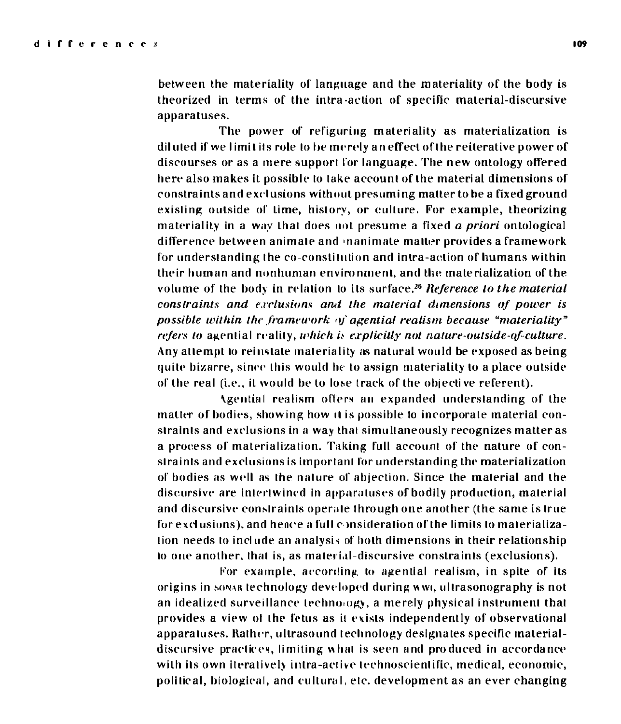between the materiality of language and the materiality of the body is theorized in terms of the intra-action of specific material-discursive apparatuses.

The power of refiguring materiality as materialization is dil uted if we limit its role to he merely an effect of the reiterative power of discourses or as a mere support for language. The new ontology offered here also makes it possible to take account of the material dimensions of constraints and exclusions without presuming matter to be a fixed ground existing outside of time, history, or culture. For example, theorizing materiality in a way that does not presume a fixed *a priori* ontological difference between animate and **inanimate matter provides a framework** for understanding the co-constitution and intra-action of humans within their human and nonhuman environment, and the materialization of the volume of the body in relation to its surface.<sup>26</sup> *Reference to the material constraints and exclusions and the material dimensions of power is possible within the framework of agential realism because "materiality" refers to* agential reality, *which is explicitly not nature-outside-of-culture*. Any attempt io reinslale materiality as natural would be exposed as being quite bizarre, since this would he to assign materiality lo a place outside of the real (i.e., it would be to lose track of the objecti ve referent).

Vgential realism offers an expanded understanding of the matter of bodies, showing how it is possible to incorporate material constraints and exclusions in a way that simultaneously recognizes matter as a process of materialization. Taking full account of the nature of constraints and exclusions is important for understanding the materialization of bodies as w ell as the nalure of abjection. Since the material and lhe discursive are inlertwincd in apparatuses of bodily production, material and discursive constraints operate through one another (the same is true for exclusions), and hence a full consideration of the limits to materialization needs to include an analysis of both dimensions in their relationship io one another, that is, as material-discursive C'onslraints (exclusions).

For example, according to agential realism, in spite of its origins in sonar technology developed during \l\wi, ullrasonography is not an idealized surveillance technology, a merely physical instrument that provides a view of the fetus as it exists independently of observational apparatuses. Rather, ullrasound technology designates specific materialdiscursive practices, limiting what is seen and produced in accordance with its own iteratively intra-active technoscientific, medical, economic, political, biological, and cultural, etc. development as an ever changing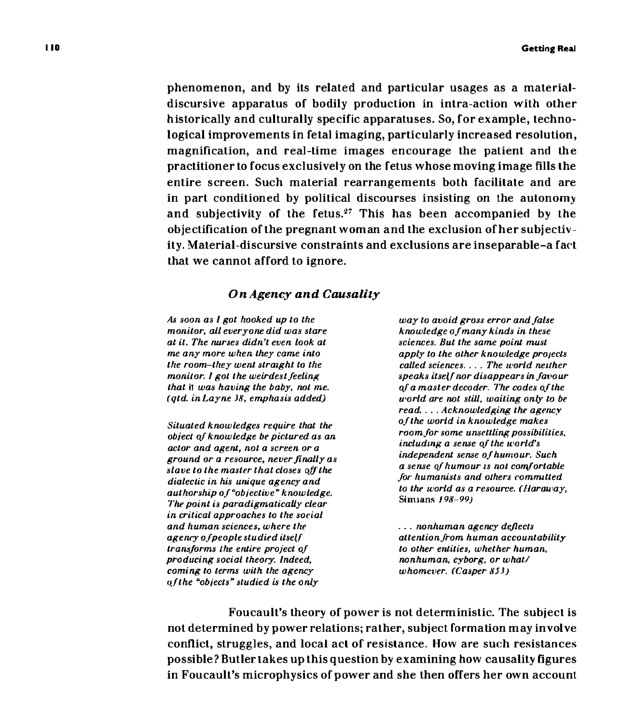phenomenon, and by its related and particular usages as a materialdiscursive apparatus of bodily production in intra-action with other historically and culturally specific apparatuses. So, for example, technological improvements in fetal imaging, particularly increased resolution, magnification, and real-time images encourage the patient and the practitioner to focus exclusively on the fetus whose moving image fills the entire screen. Such material rearrangements both facilitate and are in part conditioned by political discourses insisting on the autonomy and subjectivity of the fetus.<sup>27</sup> This has been accompanied by the objectification of the pregnant wom an and the exclusion of her subjectivity. Material-discursive constraints and exclusions are inseparable-a fact that we cannot afford to ignore.

## *On Agency and Causality*

*As soon as I got hooked up to the monitor, all everyone did was stare at it. The nurses didn't even look at me any more when they came into the room-they went straight to the monitor. I got the weirdestfeeling that* it *was having the baby, not me. (qtd. inLayne J8, emphasis added)*

*Situated knowledges require that the object of knowledge be pictured as an actor and agent, not a screen or a ground or a resource, neverjinally as slave to the master that closes off the dialectic in his unique agency and authorship o f "objective" knowledge. The point is paradigmatically clear in critical approaches to the social and human sciences, where the agency o f people studied itse(f transforms the entire project of producing social theory. Indeed, coming to terms with the agencyqfthe "objects" studied is the only*

*way to avoid gross error and false knowledge o f many kinds in these sciences. But the same point must apply to the other knowledge projects called sciences.* . . . *The world neither speaks itse(f nor disappears in favour of a master decoder. The codes of the world are not still, waiting only to be read. .* . . *Acknowledging the agency o f the world in knowledge makes room for some unsettling possibilities, including a sense of the world's independent sense o f humour. Such a sense qfhumour is nol comfortable for humanists and others comrmtted to the world as a resource. (Harau-ay,* Simians *198-99)*

— *nonhuman agency deflects attentionfrom human accountability to other entities, whether human, nonhuman, cyborg, or what/ whomever. (Casper 85J)*

Foucault's theory of power is not deterministic. The subject is not determined by power relations; rather, subject formation may involve conflict, struggles, and local acl of resistance. How are such resistances possible? Butler takes up this question by exam ining how causality figures in Foucault's microphysics of power and she then offers her own account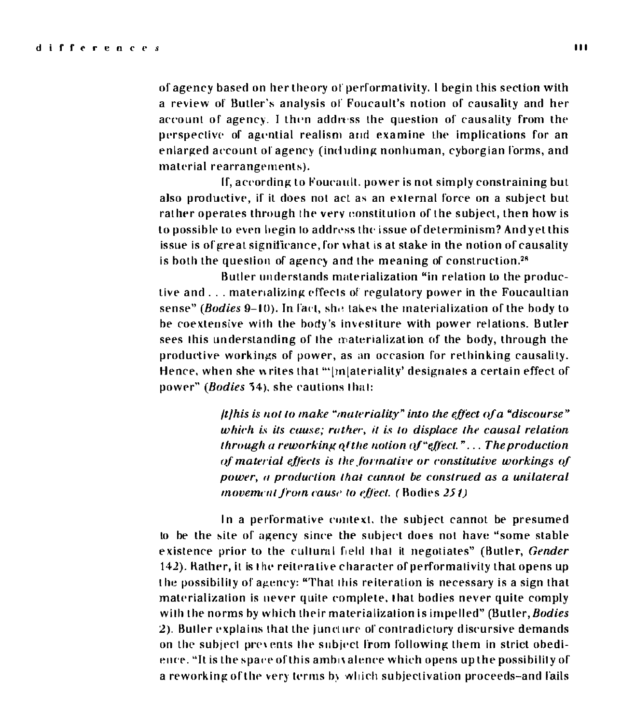of agency based on her theory of performativity. l begin this section with a review or Butler's analysis of Foucault's notion of causality and her account of agency. I then address the question of causality from the perspective of agential realism and examine the implications for an enlarged account of agency (including nonhuman, cyborgian forms, and material rearrangements).

If, according to Foucault. power is not simply constraining but also productive, if it does not act as an exlernal force on a subject but rather operates through the very constitution of the subject, then how is to possible to even hegin to address the issue of determinism? Andyet this issue is of great significance, for what is at stake in the notion of causality is both the question of agency and the meaning of construction.<sup>28</sup>

Butler understands materialization "in relation to the productive and ... materializing effects of regulatory power in the Foucaultian sense" *(Bodies* 9-10). In fact, she takes the materialization of the body to be coextensive wilh the body's invesliture with power relations. Butler sees this understanding of the materialization of the body, through the productive' workings of power, as an occasion for rethinking causality. Hence, when she writes that "'|m|ateriality' designates a certain effect of power" *(Bodies* 14), she cautions lhal:

> *ft/his is n ot lo m ake "m a te ria lity " into the effect < fa* "*discourse" which is its cause; rather, it is to displace the causal relation through a reworking of the notion of "effect."... The production of material effects is the formative or constitutive workings of power, a production that cannot be construed as a unitateral movement from cause to effect. (Bodies 251)*

In a performative context, the subject cannot be presumed to be the site of agency since the subject does not have "some stable" existence prior to the cullural field lhal it negotiates" (Butler, *Gender* 142). Rather, it is the reiterative character of performalivity that opens up the possibilily of agency: " That ihis reiteration is necessary is a sign that materialization is never quite complete, I hat bodies never quite comply wilh the norms by which their materialization is im pelled" (Butler, *Bodies* 2). Butler explains that the juncture of contradictory discursive demands on the subject prevents the subject from following them in strict obedience. "It is the space of this ambivalence which opens up the possibility of a reworking of the very terms by which subjectivation proceeds-and fails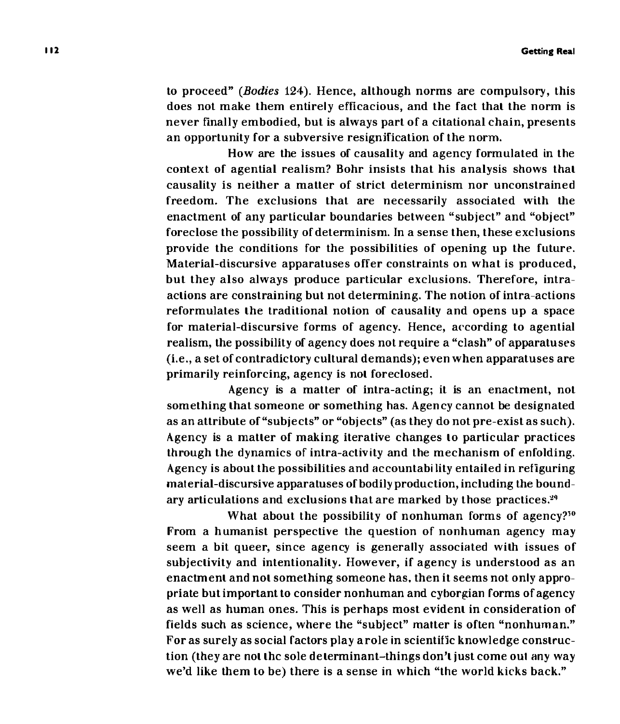to proceed" (Bodies 124). Hence, although norms are compulsory, this does not make them entirely efficacious, and the fact thal the norm is never finally embodied, but is always part of a citational chain, presents an opportunity for a subversive resignification of the norm.

How are the issues of causality and agency formulated in the context of agential realism? Bohr insists that his analysis shows thal causality is neither a matter of strict determinism nor unconstrained freedom. The exclusions that are necessarily associated with the enactment of any particular boundaries between " subject" and "object" foreclose the possibility of determinism. In a sense then, these exclusions provide the conditions for the possibilities of opening up the future. Material-discursive apparatuses offer constraints on what is produced, but they also always produce particular exclusions. Therefore, intraactions are constraining but not determining. The notion of intra-actions reformulates lhe traditional notion of causalily and opens up a space for material-discursive forms of agency. Hence, according to agential realism, the possibility of agency does not require a "clash" of apparatuses (i.e., a set of contradictory cultural demands); even when apparatuses are primarily reinforcing, agency is nol foreclosed.

Agency is a matter of intra-acting; it is an enactment, not something lhat someone or something has. Agency cannot be designated as an attribute of "subjects" or "objects" (as they do not pre-exist as such). Agency is a matter of making iterative changes to particular practices through the dynamics of intra-activity and the mechanism of enfolding. Agency is about the possibilities and accountability entailed in refiguring material-discursive apparatuses of bodily production, including the boundary articulations and exclusions that are marked by those practices. $29$ 

What about the possibility of nonhuman forms of agency?<sup>50</sup> From a humanist perspective the question of nonhuman agency may seem a bit queer, since agency is generally associated wilh issues of subjectivity and intentionalily. However, if agency is understood as an enactm enl and nol something someone has, then it seems not only appropriate but important to consider nonhuman and cyborgian forms of agency as well as human ones. This is perhaps most evidenl in consideration of fields such as science, where the "subject" matter is often " nonhuman." For as surely as social factors play a role in scientific knowledge construction (they are not the sole determinant-things don't just come out any way we'd like them to be) there is a sense in which "the world kicks back."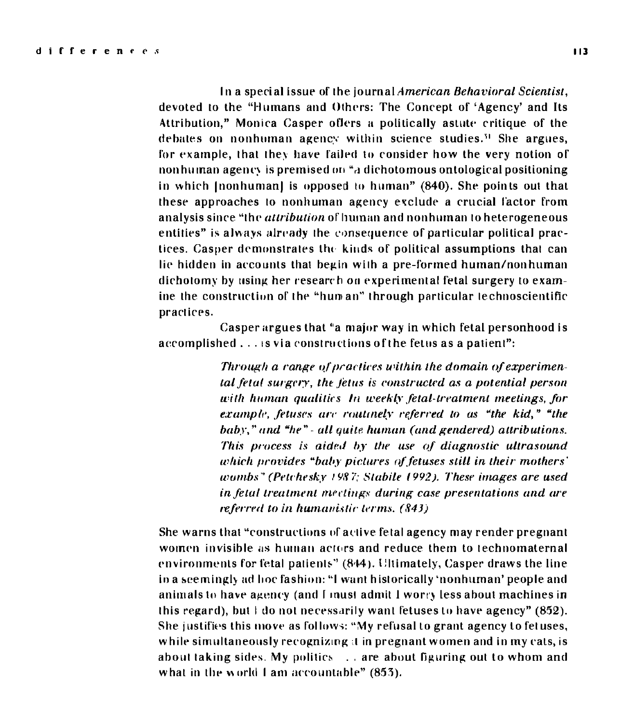In a special issue of the journal American Behavioral Scientist, devoted to the "Humans and Others: The Concept of 'Agency' and Its Attribution," Monica Casper offers a politically astute critique of the debates on nonhuman agency within science studies.<sup>51</sup> She argues, for example, that they have failed to consider how the very notion of nonhuman agency is premised on "a dichotomous ontological positioning in which (nonhuman) is opposed to human" (840). She points out that these approaches to nonhuman agency exclude a crucial factor from analysis since "the *attribution* of human and nonhuman to heterogeneous entities" is always already the consequence of particular political practices. Casper demonstrates the kinds of political assumptions that can lie hidden in accounts that begin with a pre-formed human/nonhuman dichotomy by using her research on experimental fetal surgery to examine the construction of the "human" through particular technoscientific practices.

Casper argues that "a major way in which fetal personhood is accomplished . . . is via constructions of the fetus as a patient":

> Through a range of practices within the domain of experimental fetal surgery, the fetus is constructed as a potential person with human qualities In weekly fetal-treatment meetings, for example, fetuses are routinely referred to as "the kid," "the baby," and "he" - all quite human (and gendered) attributions. This process is aided by the use of diagnostic ultrasound which provides "baby pictures of fetuses still in their mothers' wombs" (Petchesky 1987; Stabile 1992). These images are used in fetal treatment mectings during case presentations and are referred to in humanistic terms. (843)

She warns that "constructions of active fetal agency may render pregnant women invisible as human actors and reduce them to technomaternal environments for fetal patients" (844). Ultimately, Casper draws the line in a seemingly ad hoc fashion: "I want historically 'nonhuman' people and animals to have agency (and I must admit I worry less about machines in this regard), but  $\pm$  do not necessarily want fetuses to have agency" (852). She justifies this move as follows: "My refusal to grant agency to fetuses, while simultaneously recognizing at in pregnant women and in my cats, is about taking sides. My politics ... are about figuring out to whom and what in the world I am accountable" (853).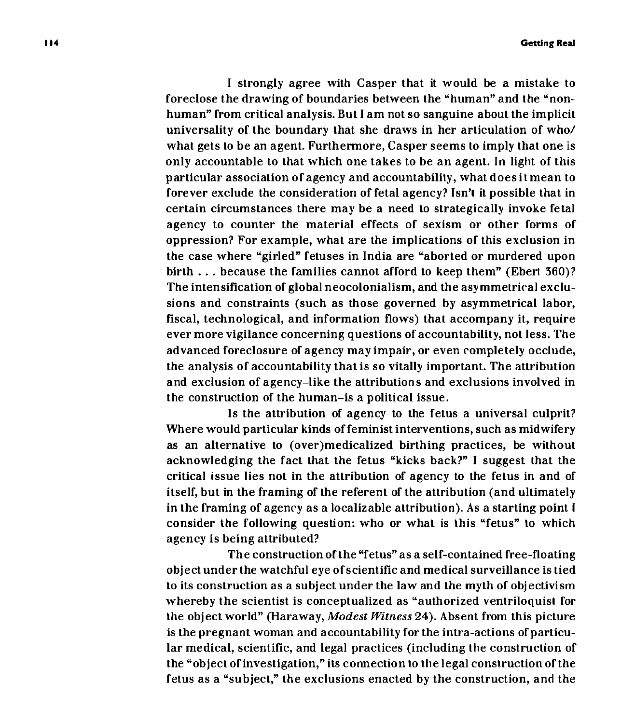I strongly agree with Casper that it would be a mistake to foreclose the drawing of boundaries between the "human" and the "nonhuman" from critical analysis. But I am not so sanguine about the implicit universality of the boundary that she draws in her articulation of who/ what gets to be an agent. Furthermore, Casper seems to imply that one is only accountable to that which one takes to be an agent. In light of this particular association of agency and accountability, what does it mean to forever exclude the consideration of fetal agency? Isn't it possible that in certain circumstances there may be a need to strategically invoke fetal agency to counter the material effects of sexism or other forms of oppression? For example, what are the implications of this exclusion in the case where "girled" fetuses in India are "aborted or murdered upon birth  $\ldots$  because the families cannot afford to keep them" (Ebert 360)? The intensification of global neocolonialism , and the asymmetrical exclusions and constraints (such as those governed by asymmetrical labor, fiscal, technological, and information flows) that accompany it, require ever more vigilance concerning questions of accountability, not less. The advanced foreclosure of agency may impair, or even completely occlude, the analysis of accountability that is so vitally important. The attribution and exclusion of agency-like the attributions and exclusions involved in the construction of the human-is a political issue.

ls the attribution of agency to the fetus a universal culprit? Where would particular kinds of feminist interventions, such as midwifery as an alternative to (over)m edicalized birthing practices, be without acknowledging the fact that the fetus "kicks back?" I suggest that the critical issue lies not in the attribution of agency to the fetus in and of itself, but in the framing of the referent of the attribution (and ultimately in the framing of agency as a localizable attribution). As a starting point I consider the following question: who or what is this "fetus" to which agency is being attributed?

The construction of the "fetus" as a self-contained free-floating object under the watchful eye ofscientific and medical surveillance is tied to its construction as a subject under the law and the myth of objectivism whereby the scientist is conceptualized as " authorized ventriloquisl for the object world" (Haraway, *Modest Witness* 24). Absent from this picture is the pregnant woman and accountability for the intra-actions of particular medical, scientific, and legal practices (including the construction of the " object ofinvestigation," its connection to the legal construction of the fetus as a "subject," the exclusions enacted by the construction, and the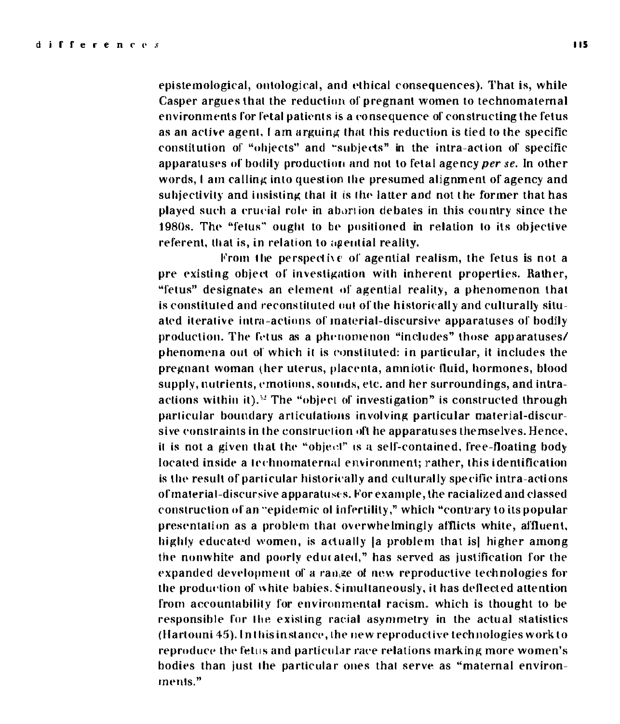epistemological, ontological, anil ethical consequences). That is, while Casper argues that the reduction of pregnant women to technomaternal environments for fetal patients is a consequence of constructing the fetus as an active agenl, I am arguing lhal this reduction is tied lo the specific constitution of " ohjects'' and " subjects" in the intra-action of specific apparatuses of bodily production and not to fetal agency *per se.* In other words, I am calling into question the presumed alignment of agency and suhjectivity and insisting that it is the latter and not the former that has played such a crucial role in abortion debates in this country since the 1980s. The "fetus" ought to be positioned in relation to its objective referent, that is, in relation to a pential reality.

From the perspective of agential realism, the fetus is not a pre existing object of invesligation with inherent properties. Rather, " fetus" designates an element of agential reality, a phenomenon that is constituted and reconstituted out of the historically and culturally situated iterative intra-actions of material-discursive apparatuses of bodily production. The fetus as a phenomenon "includes" those apparatuses/ phenom ena out ol' which ii is consliluted: in particular, it includes lhe pregnant woman (her uterus, placenta, amniolic fluid, hormones, blood supply, nutrients, cmolinns, sounds, etc. and her surroundings, and inlraactions within it).<sup>32</sup> The "object of investigation" is constructed through particular boundary articulations involving particular nialerial-discursive constraints in the construction oft he apparatuses themselves. Hence, it is not a given that the "object" is a self-contained, free-floating body located inside a Iechnomaternal environment; rather, this identification is the result of particular historically and culturally specific intra-actions ol'material-discursive apparatus^ s. For example, the racialized and classed construction of an "epidemic of infertifity," which "contrary to its popular presentation as a problem that overwhelmingly afflicts white, affluent, highly educated women, is actually a problem that is higher among the nonwhite and poorly educated," has served as justification for the expanded development of a range of new reproductive technologies for the production of white babies. Simultaneously, it has deflected attention from accountability for environmental racism., which is thought to be responsible for the existing racial asymmetry in the actual statistics (Hartouni 45). 1 n I his instance, lhe new reproductive\* technologies w ork to reproduce the fetus and particular race relations marking more women's bodies than just the particular ones that serve as "maternal environments."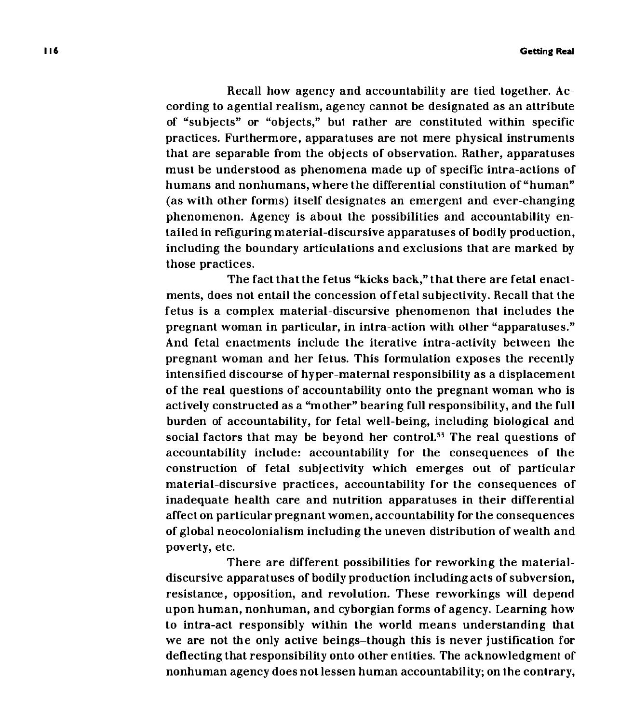Recall how agency and accountability are tied together. According to agential realism, agency cannot be designated as an attribute of "subjects" or "objects," but rather are constituted within specific practices. Furthermore, apparatuses are not mere physical instruments that are separable from the objects of observation. Rather, apparatuses must be understood as phenomena made up of specific intra-actions of humans and nonhumans, where the differential constitution of "human" (as with other forms) itself designates an emergent and ever-changing phenomenon. Agency is about the possibilities and accountability entailed in refiguring material-discursive apparatuses of bodily production, including the boundary articulations and exclusions that are marked by those practices.

The fact that the fetus "kicks back," that there are fetal enactments, does not entail the concession of fetal subjectivity. Recall that the fetus is a complex material-discursive phenomenon that includes the pregnant woman in particular, in intra-action with other "apparatuses." And fetal enactments include the iterative intra-activity between the pregnant woman and her fetus. This formulation exposes the recently intensified discourse of hyper-maternal responsibility as a displacement of the real questions of accountability onto the pregnant woman who is actively constructed as a "m other" bearing full responsibility, and the full burden of accountability, for fetal well-being, including biological and social factors that may be beyond her control.<sup>35</sup> The real questions of accountability include: accountability for the consequences of the construction of fetal subjectivity which emerges out of particular material-discursive practices, accountability for the consequences of inadequate health care and nutrition apparatuses in their differential affect on particular pregnant women, accountability for the consequences of global neocolonialism including the uneven distribution of wealth and poverty, etc.

There are different possibilities for reworking the materialdiscursive apparatuses of bodily production including acts of subversion, resistance, opposition, and revolution. These reworkings will depend upon human, nonhuman, and cyborgian forms of agency. Learning how to intra-act responsibly within the world means understanding that we are not the only active beings-though this is never justification for deflecting that responsibility onto other entities. The acknowledgment of nonhuman agency does not lessen human accountability; on the contrary,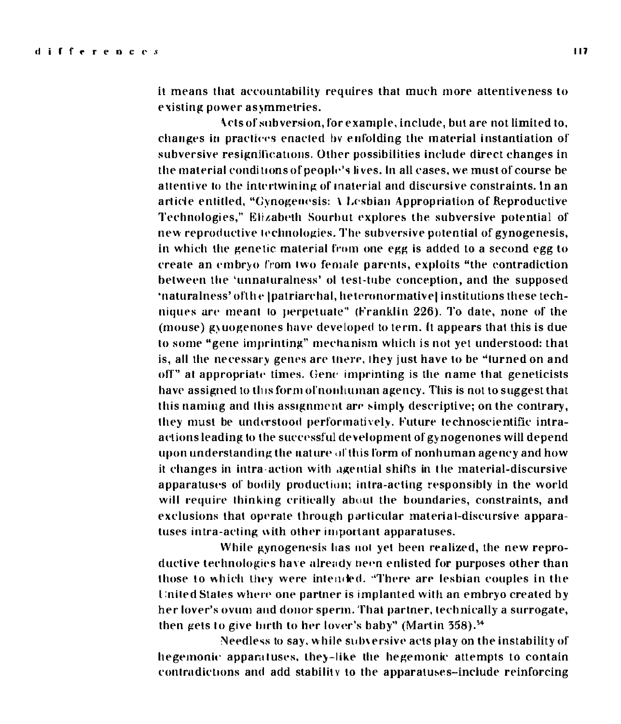it means that accountability requires that much more attentiveness to existing power asymmetries.

Acts of subversion, for example, include, but are not limited to, changes in practices enacted by enfolding the material instantiation of subversive resignifications. Other possibilities include direct changes in the material conditions of people's lives. In all cases, we must of course be attentive to the intertwining of material and discursive constraints. In an article entitled, "Gynogenesis: A Lesbian Appropriation of Reproductive Technologies," Elizabeth Sourbut explores the subversive potential of new reproductive technologies. The subversive potential of gynogenesis, in which the genetic material from one egg is added to a second egg to create an embryo from two female parents, exploits "the contradiction between the 'unnaturalness' of test-tube conception, and the supposed 'naturalness' of the [patriarchal, heteronormative] institutions these techniques are meant to perpetuate" (Franklin 226). To date, none of the (mouse) gyuogenones have developed to term. It appears that this is due to some "gene imprinting" mechanism which is not yet understood: that is, all the necessary genes are there, they just have to be "turned on and off" at appropriate times. Gene imprinting is the name that geneticists have assigned to this form of nonhuman agency. This is not to suggest that this naming and this assignment are simply descriptive; on the contrary, they must be understood performatively. Future technoscientific intraactions leading to the successful development of gynogenones will depend upon understanding the nature of this form of nonhuman agency and how it changes in intra-action with agential shifts in the material-discursive apparatuses of bodily production; intra-acting responsibly in the world will require thinking critically about the boundaries, constraints, and exclusions that operate through particular material-discursive apparatuses intra-acting with other important apparatuses.

While gynogenesis has not yet been realized, the new reproductive technologies have already been enlisted for purposes other than those to which they were intended. "There are lesbian couples in the United States where one partner is implanted with an embryo created by her lover's ovum and donor sperm. That partner, technically a surrogate, then gets to give birth to her lover's baby" (Martin  $558$ ).<sup>34</sup>

Needless to say, while subversive acts play on the instability of hegemonic apparatuses, they-like the hegemonic attempts to contain contradictions and add stability to the apparatuses-include reinforcing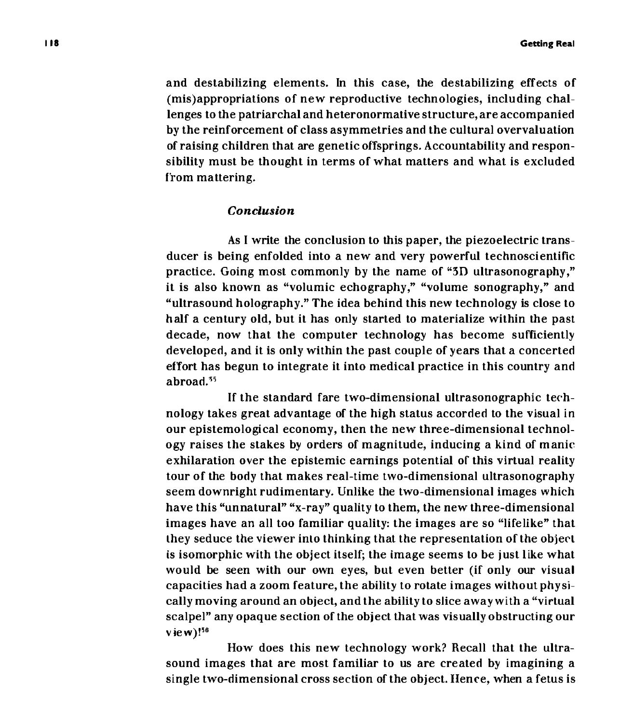and destabilizing elements. In this case, the destabilizing effects of (mis)appropriations of new reproductive technologies, including challenges to the patriarchal and heteronormative structure, are accompanied by the reinforcement of class asymmetries and the cultural overvaluation of raising children that are genetic offsprings. Accountability and responsibility must be thought in terms of what matters and what is excluded from mattering.

## *C o n c lu s io n*

As I write the conclusion to this paper, the piezoelectric transducer is being enfolded into a new and very powerful technoscientific practice. Going most commonly by the name of "5D ultrasonography," it is also known as "volumic echography," "volume sonography," and " ultrasound holography." The idea behind this new technology is close to half a century old, but it has only started to materialize within the past decade, now that the computer technology has become sufficiently developed, and it is only within the past couple of years that a concerted effort has begun to integrate it into medical practice in this country and abroad.<sup>35</sup>

If the standard fare two-dimensional ultrasonographic technology takes great advantage of the high status accorded to the visual in our epistemological economy, then the new three-dimensional technology raises the stakes by orders of magnitude, inducing a kind of manic exhilaration over the epistemic earnings potential of this virtual reality tour of the body that makes real-time two-dimensional ultrasonography seem downright rudimentary. Unlike the two-dimensional images which have this "unnatural" "x-ray" quality to them, the new three-dimensional images have an all too familiar quality: the images are so "lifelike" that they seduce the viewer into thinking that the representation of the object is isomorphic with the object itself; the im age seems to be just like what would be seen with our own eyes, but even better (if only our visual capacities had a zoom feature, the ability to rotate im ages without physically moving around an object, and the ability to slice away with a "virtual" scalpel" any opaque section of the object that was visually obstructing our  $v$  ie w $)$ !<sup>56</sup>

How does this new technology work? Recall that the ultrasound images that are most familiar to us are created by imagining a single two-dimensional cross section of the object. Hence, when a fetus is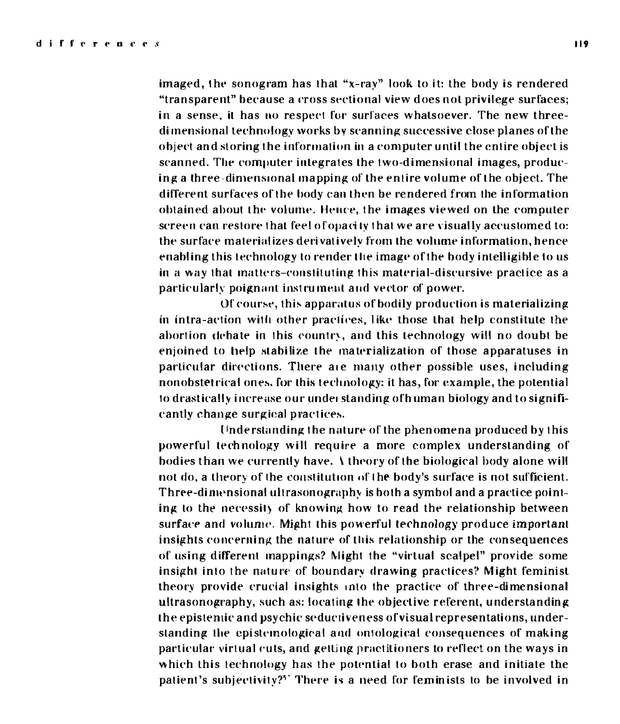imaged, lhe sonogram has that "x-ray" look to it: the body is rendered "transparent" because a cross sectional view does not privilege surfaces; in a sense, it has no respect for surfaces whatsoever. The new threedimensional technology works by scanning successive close planes of the object and storing the information in a com puter until the entire object is scanned. The computer integrates the two-dimensional images, producing a three-dimensional mapping of the entire volume of the object. The different surfaces of the body can then be rendered from the information obtained about the volume. Hence, the images viewed on the computer screen can restore that feel of opacity that we are visually accustomed to: the surface materializes derivatively from the volume information, hence enabling this technology to render the image of the body intelligible to us in a way that matters-constituting this material-discursive practice as a particularly poignant instrument and vector of power.

Of course, this apparatus of bodily production is materializing in intra-action with other practices, like those that help constitute the abortion dehate in this country, and this technology will no doubt be enjoined to help stabilize the materialization of those apparatuses in particular directions. There aie many other possible uses, including nonobstetrical ones. for this technology: it has, for example, the potential to drastically increase our under standing of human biology and to significantly change surgical practices.

Understanding the nature of the phenomena produced by this powerful technology will require a more complex understanding of bodies than we currently have. A theory of the biological body alone will not do, a theory of the constitution of the body's surface is not sufficient. Three-dimensional ultrasonography is both a symbol and a practice pointing to the necessil) of knowing how to read the relationship between surface and volume. Might this powerful technology produce important insights concerning the nature of this relationship or the consequences of using different mappings? Might the " virtual scalpel" provide some insight into the nature of boundary drawing practices? Might feminist theory provide crucial insights into the practice of three-dimensional ultrasonography, such as: locating lhe objective referent, understanding the episteniic and psychic seductiveness of visual representations, understanding tlie epistemological and oniological consequences of making particular virtual cuts, and getting practitioners to reflect on the ways in which this technology has the potential to both erase and initiate the patient's subjectivity?<sup>5</sup> There is a need for feminists to be involved in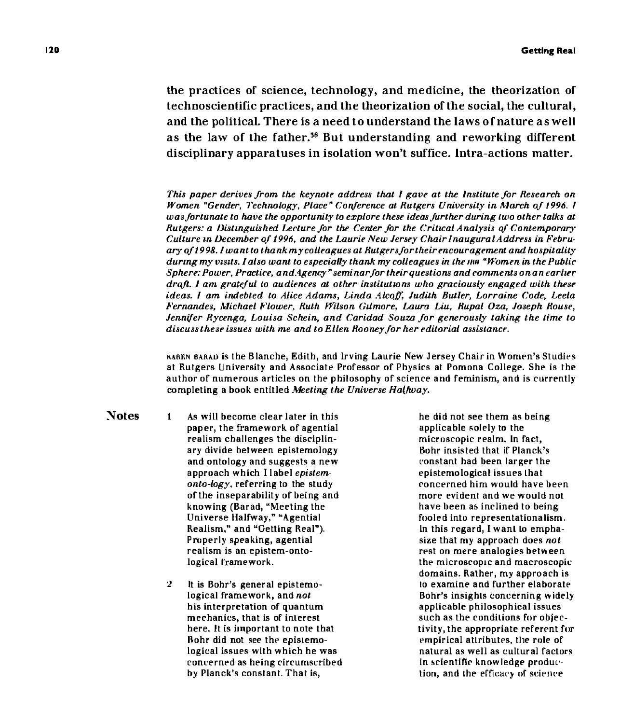the practices of science, technology, and medicine, the theorization of technoscientific practices, and the theorization of the social, the cultural, and the political. There is a need to understand the laws of nature as well as the law of the father.<sup>38</sup> But understanding and reworking different disciplinary apparatuses in isolation won't suffice. Intra-actions matter.

*This paper derives from the keynote address that* I *gave at the Institute for Research on Women "Gender, Technology, Place" Conference at Rutgers University in March of 1996.* I *wasfortunate to have the opportunity to explore these ideas further during Iwo other talks at Rutgers: a Distinguished Lecture for the Center for the Critical Analysis Qf Contemporary Culture m December of 1996, and the Laurie New Jersey Chair Inaugura lAddress in February of 1998.1 want to thank mycolleagues at Rutgersfortheir encouragement and hospitality during my visits. I also want to especially thank my colleagues in lhe 1111 "Women in the Public Sphere: Power, Practice, and Agency" seminar for their questions and comments on an earlier drqft. I am grateful lo audiences at other institutions who graciously engaged with these ideas.* I *am indebted to Alice Adams, Linda Alco.ff, Judith Butler, Lorraine Code, Leela Fernandes, Michael Flower, Ruth Wilson Gilmore, Laura Liu, Rupal Oza, Joseph Rouse, Jennifer Rycenga, Louisa Schein, and Caridad Souza for generously taking the time to* discuss these issues with me and to Ellen Rooney for her editorial assistance.

KAREN BARAD is the Blanche, Edith, and Irving Laurie New Jersey Chair in Women's Studies at Rutgers University and Associate Professor of Physics at Pomona College. She is the author of numerous articles on the philosophy of science and feminism, and is currently completing a book entitled *Meeting the Universe Ha(fway.*

- Notes 1 As will become clear later in this he did not see them as being paper, the framework of agential realism challenges the disciplinary divide between epistemology and ontology and suggests a new approach which I label *epistemonto-logy.* referring to the study of the inseparability of being and knowing (Barad, "Meeting the Universe Halfway," "Agential Realism," and "Getting Real"). Properly speaking, agential realism is an epistem-ontological framework.
	- 2 It is Bohr's general epistemological framework, and *not* his interpretation of quantum mechanics, that is of interest here. It is important to note that Bohr did not see the episLemological issues with which he was concerned as heing circumscribed by Planck's constant. That is,

applicable solely to the microscopic realm. In fact, Bohr insisted that if Planck's constant had been larger the epistemological issues Lhat concerned him would have been more evident and we would not have been a& inclined to being fooled into representationalism. In this regard, I wanl lo emphasize that my approach does *not* rest on mere analogies between the microscopic and macroscopic domains, Rather, my approach is lo examine and further elaborate Bohr's insights concerning widely applicable philosophical issues such as the conditions for objectivity, the appropriate referent for empirical attributes, the role of natural as well as cultural factors in scientific knowledge production, and the efficacy of science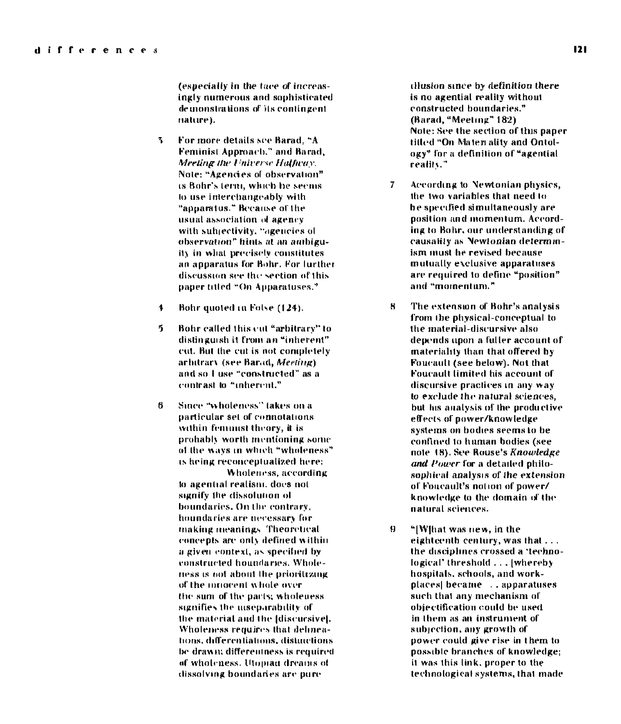(especially in the face of increasingly numerous and sophisticated demonstrations of its contingent nature).

- $\mathbf{Z}$ For more details see Barad, "A Feminist Approach," and Barad, Meeting the Universe Halfway. Note: "Agencies of observation" is Bohr's term, which he seems to use interchangeably with "apparatus." Because of the usual association of agency with subjectivity, "agencies of observation" hints at an ambiguity in what precisely constitutes an apparatus for Bohr. For further discussion see the section of this paper titled "On Apparatuses."
- $\ddot{\bullet}$ Bohr quoted in Folse (124).
- $5^{\circ}$ Bohr called this cut "arbitrary" to distinguish it from an "inherent" cut. But the cut is not completely arhitrary (see Barad, Meeting) and so I use "constructed" as a contrast to "inherent."
- Since "wholeness" takes on a 6 particular set of connotations within feminist theory, it is prohably worth mentioning some of the ways in which "wholeness" is heing reconceptualized here:

Wholeness, according to agential realism, does not surnify the dissolution of boundaries. On the contrary, houndaries are necessary for making meanings Theoretical concepts are only defined within a given context, as specified by constructed houndaries. Wholeness is not about the prioritizing of the innocent whole over the sum of the parts; wholeness signifies the inseparability of the material and the Idiscursivel. Wholeness requires that delineahons, differentiations, distinctions be drawn; differentness is required of wholeness. Utopian dreams of dissolving boundaries are pure

illusion since by definition there is no agential reality without constructed boundaries." (Barad, "Meeting" 182) Note: See the section of this paper. titled "On Materrality and Ontology" for a definition of "agential reality."

- $\overline{I}$ According to Newtonian physics, the two variables that need to he specified simultaneously are position and momentum. According to Bohr, our understanding of causality as Newtonian determinism must he revised because mutually exclusive apparatuses are required to define "position" and "momentum."
- $\mathbf{H}$ The extension of Bohr's analysis from the physical-conceptual to the material-discursive also depends upon a fuller account of materiality than that offered by Foucault (see below). Not that Foucault limited his account of discursive practices in any way to exclude the natural sciences, but his analysis of the productive effects of power/knowledge systems on bodies seems to be confined to human bodies (see note 18). See Rouse's Knowledge and Power for a detailed philosophical analysis of the extension of Foucault's notion of power/ knowledge to the domain of the natural sciences.
- $\mathbf{9}$ "|W|hat was new, in the eighteenth century, was that ... the disciplines crossed a 'technological' threshold ... [whereby] hospitals, schools, and workplaces became ..apparatuses such that any mechanism of objectification could be used in them as an instrument of subjection, any growth of power could give rise in them to possible branches of knowledge; it was this link, proper to the technological systems, that made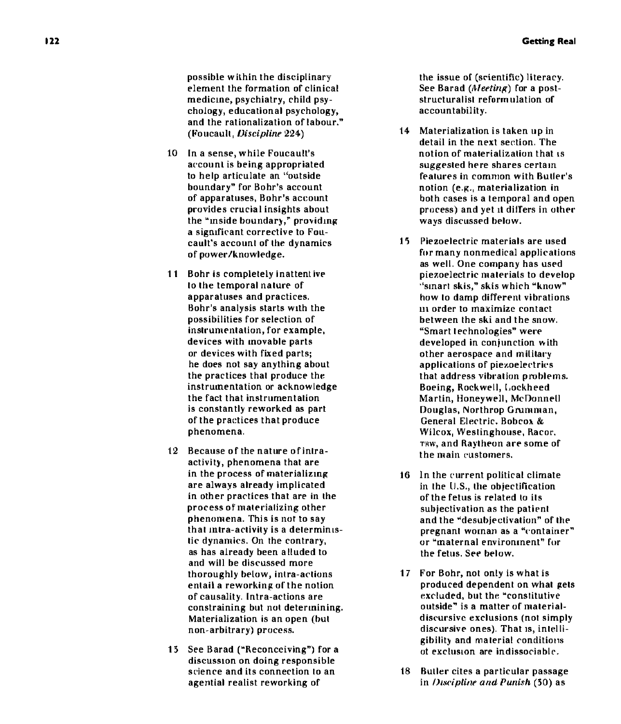possible wilhin the disciplinary element the formation of clinical medicme, psychiatry, child psychology, educational psychology, and the rationalization of labour." (Foucault, *Discipline* 224)

- 10 In a sense, while Foucault's arcounl is being appropriated to help articulate an "outside boundary" for Bohr's account of apparatuses, Bohr's account provides crucial insights about the "inside boundary," providing a significant corrective to Foucault's account of the dynamics of power/knowledge.
- 11 Bohr is completely inattentive to lhe temporal nature of apparatuses and practices. Bohr's analysis starts with the possibilities for selection of instrumentation, for example, devices with movable parts or devices with fixed parts; he does not say anything about the practices that produce the instrumentation or acknowledge the fact that instrumentation is constantly reworked as part of the practices that produce phenomena.
- 12 Because of the nature of intraactivit), phenomena that are in the process of materializing are always already implicated in other practices that are in the process of materializing other phenomena. This is not to say that mtra-activity is a deterministic dynamics. On the contrary, as has already been alluded to and will be discussed more thoroughly below, intra-aclions entail a reworking of the notion of causality. Intra-actions are constraining but not determining. Materialization is an open (but non-arbitrary) process.
- 15 See Barad ("Reconceiving'') for a discussion on doing responsible science and its connection to an agential realist reworking of

the issue of (scientific) literacy. See Barad (*Meeting)* for a poststructuralisl reformulation of accountability.

- 14 Materialization is taken up in detail in the next section. The notion of materialization that is suggesled here shares certain features in common with Butler's notion (e.g., materialization in both cases is a temporal and open process) and yet il differs in other ways discussed below.
- 15 Piezoelectric materials are used for many nonmedical applications as well. One company has used piezoelectric materials to develop "smart skis," skis which "know" how to damp different vibrations m order to maximize contact between the ski and the snow. "Smart technologies" were developed in conjunction with other aerospace and military applications of piezoelectrics that address vibration problems. Boeing, Rockwell, Lockheed Martin, Honeywell, McDonnell Douglas, Northrop Grumman, General Electric. Bobcox & Wilcox, Westinghouse, Racor. trw , and Raytheon are some of the main customers.
- 16 In the current political climate in the U.S., the objectification of the fetus is related to its subjectivation as the patient and the "desubjectivation" of the pregnant woman as a "container" or "maternal environment" for the fetus. See below.
- 17 For Bohr, not only is what is produced dependent on what gets excluded, but the "constitutive outside" is a matter of materialdiscursive exclusions (not simply discursive ones). That is, intelligibility and material conditions ot exclusion are indissociable.
- 18 Buller cites a particular passage in *Discipline and Punish* (50) as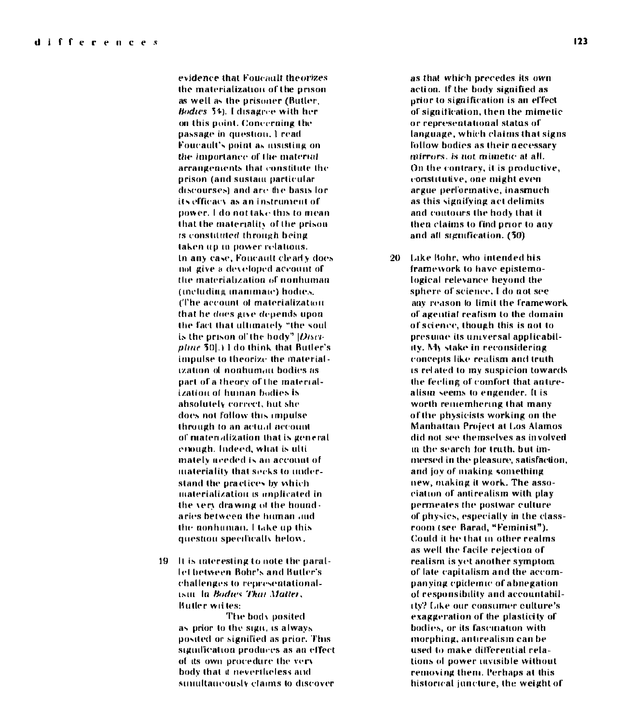evidence that Foucault theorizes the materialization of the prison as well as the prisoner (Butler, Bodies 54). I disagree with her on this point. Concerning the passage in question, I read Foucault's point as insisting on the importance of the material arrangements that constitute the prison (and sustain particular discourses) and are the basis for its efficacy as an instrument of power. I do not take this to mean that the materiality of the prison is constituted through being taken up in power relations. In any case, Foucault clearly does not give a developed account of the materialization of nonhuman (including manimaic) hodies. (The account of materialization that he does give depends upon the fact that ultimately "the soul is the prison of the body" [Disci*pline* 30.11 do think that Butler's impulse to theorize the materialization of nonhuman bodies as part of a theory of the materialization of human bodies is ahsolutely correct, but she does not follow this impulse. through to an actual account of materialization that is general. enough. Indeed, what is ultimately needed is an account of materiality that seeks to understand the practices by which materialization is implicated in the very drawing of the houndaries between the human and the nonhuman. I take up this question specifically helow.

19 It is interesting to note the parallet between Bohr's and Butler's challenges to representationalistic la *Bodies That Matter*, Butler wiltes:

The body posited as prior to the state is always. posited or signified as prior. This signification produces as an effect of its own procedure the very body that it nevertheless and simultaneously claims to discover

as that which precedes its own action. If the body signified as prior to signification is an effect of signification, then the mimetic or representational status of language, which claims that signs follow bodies as their necessary mirrors, is not mimetic at all. On the contrary, it is productive, constitutive, one might even argue performative, inasmuch as this signifying act delimits and contours the hody that it then claims to find prior to any and all signification. (50)

20 Like Bohr, who intended his framework to have epistemological relevance heyond the sphere of science, I do not see any reason to limit the framework of agential realism to the domain of science, though this is not to presume its universal applicability. My stake in reconsidering concepts like realism and truth is related to my suspicion towards. the fecting of comfort that antirealism seems to engender. It is worth remembering that many of the physicists working on the Manhattan Project at Los Alamos did not see themselves as involved in the search for truth, but immersed in the pleasure, satisfaction, and joy of making something new, making it work. The association of antirealism with play permeates the postwar culture of physics, especially in the classroom (see Barad, "Feminist"). Could it he that in other realms as well the facile rejection of realism is yet another symptom of late capitalism and the accompanying epidemic of abnegation of responsibility and accountability? Like our consumer culture's exaggeration of the plasticity of bodies, or its fascination with morphing, antirealism can be used to make differential relations of power myisible without removing them. Perhaps at this historical juncture, the weight of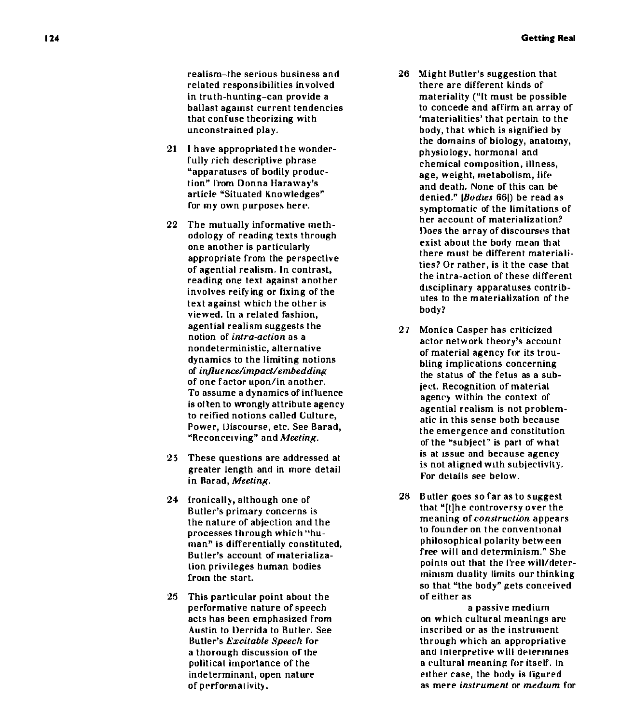realism-the serious business and related responsibilities in volved in truth-hunting-can provide a ballast agamst current tendencies that confuse theorizing with unconstrained play.

- 21 I have appropriated the wonderfully rich descriptive phrase "apparatuses of bodily production" from Donna Haraway's article "Situated Knowledges" for my own purposes here.
- 22 The mutually informative methodology of reading texts through one another is particularly appropriate from the perspective of agential realism. In contrast, reading one text against another involves reify ing or fixing of the text against which the other is viewed. In a related fashion, agential realism suggests the notion of *intra-action* as a nondeterministic, alternative dynamics to the limiting notions of *influence/impact/embedding* of one factor upon/in another. To assume a dynamics of influence is often to wrongly attribute agency to reified notions called Culture, Power, Discourse, etc. See Barad, "Reconceiving" and *Meeting.*
- 25 These questions are addressed at greater length and in more detail in Barad, *Meeting.*
- 24 Ironically, although one of Butler's primary concerns is the nature of abjection and the processes through which "human" is differentially constituted, Butler's account of materialization privileges human bodies from the start.
- 25 This particular point about the performative nature of speech acts has been emphasized from Austin to Derrida to Rutler. See Butler's *Excitable Speech* Tor a thorough discussion oT lhe political importance of the indeterminant, open nature of performaiivity.
- 26 Might Butler's suggestion that there are different kinds of materiality ("It must be possible to concede and affirm an array of 'materialities' that pertain to the body, that which is signified by the domains of biology, anatomy, physiology, hormonal and chemical composition, illness, age, weight, metabolism, lifeand death. None of this can be denied." *(Bodies* 66|) be read as symptomatic of the limitations of her account of materialization? Does lhe array of discourses thal exist about the body mean that there must be different materialities? Or rather, is it the case that the intra-action of these different disciplinary apparatuses contributes to the materialization of the body?
- 27 Monica Casper has criticized actor network theory's account of material agency for its troubling implications concerning the status of the fetus as a subjeel. Recognition of material agency within the context or agential realism is not problematic in this sense both because the emergence and constitution of the "subject"' is part of what is at issue and because agency is not aligned with subjectivity. For details see below.
- 28 Butler goes so far as to suggest that " [t)he controversy over the meaning *of construction* appears to founder on the conventional philosophical polarity between free will and determinism." She points out that the free will/determimsm duality limits our thinking so that "the body" gets conceived of either as

a passive medium on which cultural meanings are inscribed or as the instrument through which an appropriative and interpretive will determines a cultural meaning for itself. In either case, the body is figured as mere *instrument* or *medium* for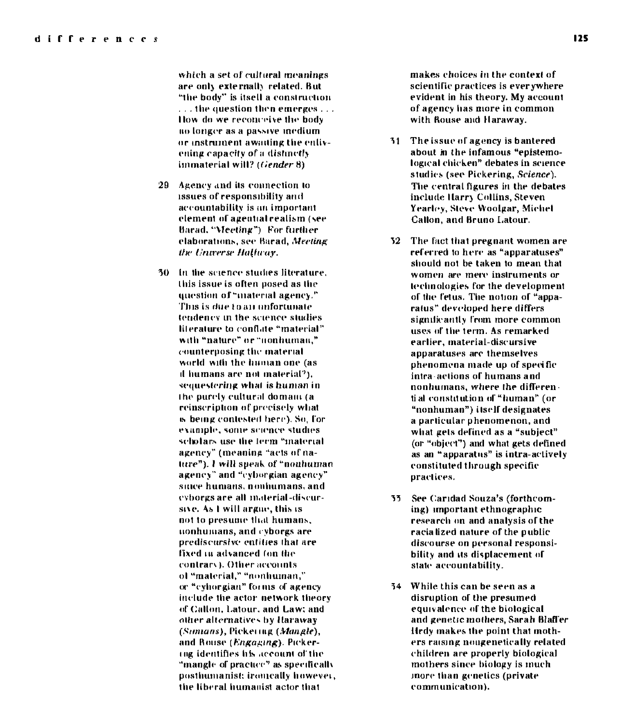which a set of cultural meanings are only externally related. But "the body" is itsell a construction ... the question then emerges ... How do we reconceive the body no longer as a passive inedium or instrument awaiting the enlivening capacity of a distinctly immaterial will? (Gender 8)

- 29 Agency and its connection to issues of responsibility and accountability is an important element of agential realism (see Barad, "Meeting") For further elaborations, see Barad, Meeting the Universe Hallway.
- 30 In the science studies literature. this issue is often posed as the unestion of "material agency." This is due to an imfortunate tendency in the science studies literature to conflate "material" with "nature" or "nonhuman." counterposing the material world with the human one (as d humans are not material?). sequestering what is human in the purcly cultural domain (a) reinscription of precisely what is being contested here). So, for example, some science studies scholars use the leem "material agency" (meaning "acts of nature"). I will speak of "nouhumanagency" and "cyborgian agency" since humans, nonhumans, and eyborgs are all material-discursive. As I will argue, this is not to presume that humans. nonhumans, and evborgs are prediscursive entities that are fixed tu advanced (on the contrary). Other accounts ol "material," "nonhuman," or "cyhorgian" forms of agency include the actor network theory of Callon, Latour, and Law; and other alternatives by Haraway (Simians), Pickering (Mangle), and Rouse (Engaging). Pickerring identifies his account of the "mangle of practice" as specifically posthumanist: ironically however, the liberal humanist actor that

makes choices in the context of scientific practices is everywhere evident in his theory. My account of agency has more in common with Rouse and Haraway.

- 31 The issue of agency is bantered about in the infamous "epistemological chicken" debates in science studies (see Pickering, Science). The central figures in the debates include Harry Collins, Steven Yearley, Steve Woolgar, Michel Callon, and Bruno Latour.
- 32 The fact that pregnant women are referred to here as "apparatuses" should not be taken to mean that women are mere instruments or technologies for the development of the fetus. The notion of "apparatus" developed here differs significantly from more common uses of the term. As remarked earlier, material-discursive apparatuses arc themselves phenomena made up of specific intra-actions of humans and nonhumans, where the differenti al constitution of "human" (or "nonhuman") itself designates a particular phenomenon, and what gets defined as a "subject" (or "object") and what gets defined as an "apparatus" is intra-actively constituted through specific practices.
- 33 See Caridad Souza's (forthcoming) important ethnographic research on and analysis of the racialized nature of the public discourse on personal responsibility and its displacement of state accountability.
- 34 While this can be seen as a disruption of the presumed equivalence of the biological and genetic mothers, Sarah Blaffer Hedy makes the point that mothers raising nongenetically related children are properly biological mothers since biology is much more than genetics (private communication).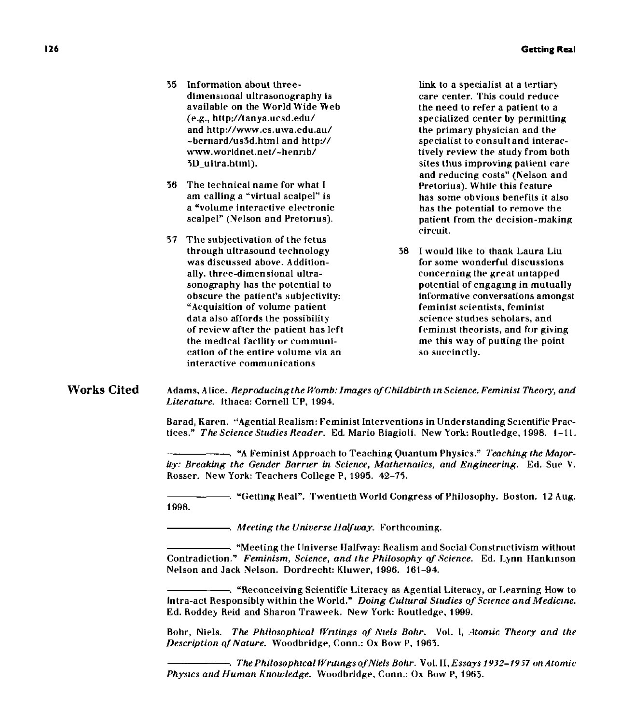- 15 Information about threedimensional ultrasonography is available on the World Wide Web ( e.g., <http://tanya.ucsd.edu/> and <http://www.cs.uwa.edu.au/> ~bcrnard/us3d.html and http:// w^ww.worldnet.net/~henrib/ 1D\_ullra.html).
- 16 The technical name for what I am calling a "virtual scalpel'' is a "volume interactive electronic scalpel" (Nelson and Pretorius).
- 57 The subjeclivation of the fetus through ultrasound technology was discussed above. Additionally. three-dimensional ultrasonography has the potential to obscure the patient's subjectivity: "Acquisition of volume patient data also affords the possibility of review after the patient has left the medical facility or communication of the entire volume via an interactive communications

link to a specialist at a tertiary care center. This could reduce the need to refer a patient to a specialized center by permitting the primary physician and the specialist to consult and interactively review the study from both sites thus improving patient care and reducing costs" (Nelson and Pretorius). While this feature has some obvious benefits it also has the potential to remove the patient from the decision-making circuit.

38 I would like to thank Laura Liu for some wonderful discussions concerning the great untapped potential of engaging in mutually informative conversations amongst feminist scientists, feminist science studies scholars, and feminist theorists, and for giving me this way of pulting the point so succinctly.

Works Cited Adams, A lice. *Reproducing the Womb: Images of Childbirth in Science, Feminist Theory, and Literature.* Ithaca: Cornell CP, 1994.

> Barad, Karen. ''Agential Realism: Feminist Interventions in Understanding Scientific Praclices." *The Science Studies Reader.* Ed. Mario Biagioli. New York.. Routledge, 1998. 1-11.

> $\rightarrow$  "A Feminist Approach to Teaching Quantum Physics." *Teaching the Majority: Breaking the Gender Barrier in Science, Mathematics, and Engineering.* Ed. Sue V. Rosser. New York: Teachers College P, 1995. 42-75.

> ---------------- . "Getting Real". Twentieth World Congress of Philosophy. Boston. 12 Aug. 1998.

----------------- . *Meeting the Universe Halfway.* Forthcoming.

---------------- . "Meeting the Universe Halfway: Realism and Social Constructivism without Contradiction." *Feminism, Science, and the Philosophy of Science.* Ed. Lynn Hankinson Nelson and Jack Nelson. Dordrecht: Kluwer, 1996. 161-94.

 $-$ . "Reconceiving Scientific Literacy as Agential Literacy, or Learning How to Intra-act Responsibly within the World." *Doing Cultural Studies of Science and Medicine.* Ed. Roddey Reid and Sharon Traweek. New York: Routledge, 1999.

Bohr, Niels. *The Philosophical Writings of Niels Bohr.* Vol. 1, *Atomic Theory and the Description of Nature.* Woodbridge, Conn.: Ox Bow P, 1965.

 $-$ - The Philosophical Writings of Niels Bohr. Vol. II, *Essays* 1932–1957 on Atomic *Physics and Human Knowledge.* Woodbridge, Conn.: Ox Bow P, 1963.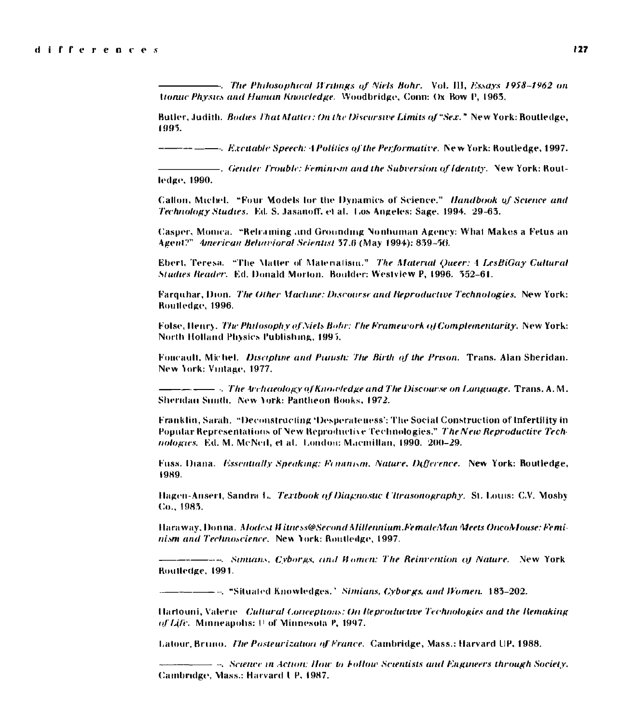- The Philosophical Writings of Niels Bohr. Vol. III, Essays 1958–1962 on *Honne Physics and Human Knowledge.* Woodbridge, Conn: Ox Bow P, 1965.

Butler, Judith. Bodies That Matter: On the Discursive Limits of "Sex." New York: Routledge, 1993.

ledge, 1990.

Callon, Michel. "Four Models for the Dynamics of Science." Handbook of Science and Technology Studies. Ed. S. Jasanoff, et al. Los Angeles: Sage, 1994. 29-63.

Casper, Monica. "Reframing and Grounding Nonhuman Agency: What Makes a Fetus an Agent?" American Behavioral Scientist 37.6 (May 1994): 839-56.

Ebert, Teresa. "The Matter of Materialism." The Material Queer: A LesBiGay Cultural Studies Reader. Ed. Donald Morton. Boulder: Westview P, 1996. 352-61.

Farquhar, Dion. The Other Machine: Discourse and Reproductive Technologies. New York: Routledge, 1996.

Folse, Henry. The Philosophy of Niels Bohr: The Framework of Complementarity. New York: North Holland Physics Publishing, 1995.

Foucault, Michel. Discipline and Punish: The Birth of the Prison. Trans. Alan Sheridan. New York: Vintage, 1977.

Sheridan Simth, New York: Pantheon Books, 1972.

**Franklin, Sarah. "Deconstructing Desperateness': The Social Construction of Infertility in** Popular Representations of New Reproductive Technologies." The New Reproductive Technologies. Ed. M. McNeil, et al. Londou: Macmillan, 1990. 200-29.

Fuss, Diana. *Essentially Speaking: Femansm. Nature, Difference*. New York: Routledge, 1989.

Hagen-Ansert, Sandra L. Textbook of Diagnostic Ultrasonography. St. Louis: C.V. Mosby Co., 1983.

Haraway, Donna. Modest Witness@Second Millennium.FemaleMan Meets OncoMouse: Feminism and Technoscience. New York: Routledge, 1997.

------------ Simians, Cyborgs, and Bomen: The Reinvention of Nature. New York Routledge, 1991.

Hartouni, Valerie Cultural Conceptions: On Reproductive Technologies and the Remaking of Life. Minneapolis: 11 of Minnesota P, 1997.

Latour, Bruno. The Posteurization of France. Cambridge, Mass.: Harvard UP, 1988.

 $\rightarrow$   $\sim$  Science in Action: How to Follow Scientists and Engineers through Society. Cambridge, Mass.: Harvard UP, 1987.